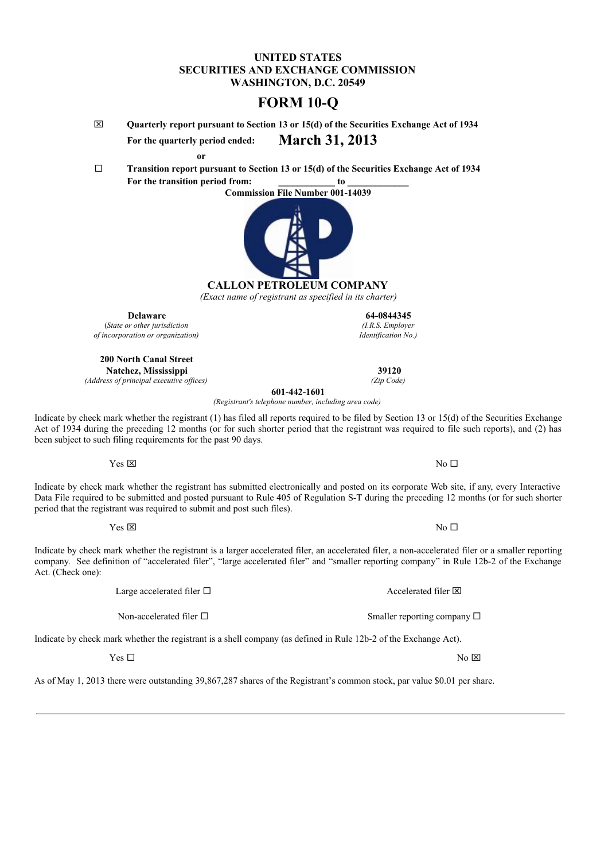# **UNITED STATES SECURITIES AND EXCHANGE COMMISSION WASHINGTON, D.C. 20549**

# **FORM 10-Q**

<span id="page-0-0"></span>x **Quarterly report pursuant to Section 13 or 15(d) of the Securities Exchange Act of 1934**

**For the quarterly period ended: March 31, 2013**

**or**

¨ **Transition report pursuant to Section 13 or 15(d) of the Securities Exchange Act of 1934 For the transition period from: \_\_\_\_\_\_\_\_\_\_\_\_ to \_\_\_\_\_\_\_\_\_\_\_\_\_**

**Commission File Number 001-14039**



**CALLON PETROLEUM COMPANY**

*(Exact name of registrant as specified in its charter)*

**Delaware** (*State or other jurisdiction of incorporation or organization)*

**200 North Canal Street Natchez, Mississippi** *(Address of principal executive of ices)* **39120**

*(Zip Code)*

**64-0844345** *(I.R.S. Employer Identification No.)*

**601-442-1601** *(Registrant's telephone number, including area code)*

Indicate by check mark whether the registrant (1) has filed all reports required to be filed by Section 13 or 15(d) of the Securities Exchange Act of 1934 during the preceding 12 months (or for such shorter period that the registrant was required to file such reports), and (2) has been subject to such filing requirements for the past 90 days.

Yes  $\boxtimes$  No  $\square$ 

Indicate by check mark whether the registrant has submitted electronically and posted on its corporate Web site, if any, every Interactive Data File required to be submitted and posted pursuant to Rule 405 of Regulation S-T during the preceding 12 months (or for such shorter period that the registrant was required to submit and post such files).

Indicate by check mark whether the registrant is a larger accelerated filer, an accelerated filer, a non-accelerated filer or a smaller reporting company. See definition of "accelerated filer", "large accelerated filer" and "smaller reporting company" in Rule 12b-2 of the Exchange Act. (Check one):

Large accelerated filer  $\square$ 

Non-accelerated filer  $\square$  Smaller reporting company  $\square$ 

Indicate by check mark whether the registrant is a shell company (as defined in Rule 12b-2 of the Exchange Act).

Yes  $\square$ 

As of May 1, 2013 there were outstanding 39,867,287 shares of the Registrant's common stock, par value \$0.01 per share.

Yes  $\boxtimes$  No  $\square$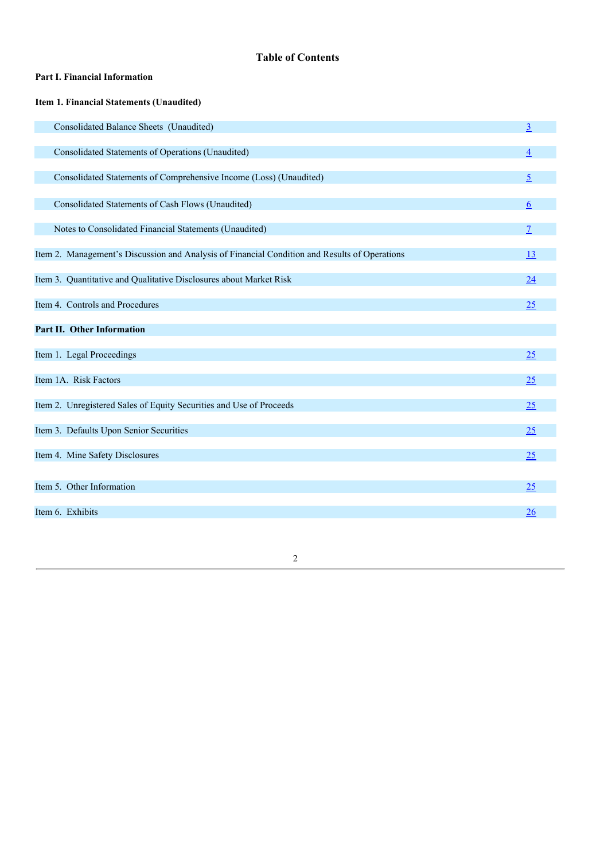# **Table of Contents**

# **Part I. Financial Information**

# **Item 1. Financial Statements (Unaudited)**

| Consolidated Balance Sheets (Unaudited)                                                       | $\overline{3}$ |
|-----------------------------------------------------------------------------------------------|----------------|
| Consolidated Statements of Operations (Unaudited)                                             | $\overline{4}$ |
| Consolidated Statements of Comprehensive Income (Loss) (Unaudited)                            | $\overline{2}$ |
| Consolidated Statements of Cash Flows (Unaudited)                                             | 6              |
| Notes to Consolidated Financial Statements (Unaudited)                                        | $\overline{7}$ |
| Item 2. Management's Discussion and Analysis of Financial Condition and Results of Operations | 13             |
| Item 3. Quantitative and Qualitative Disclosures about Market Risk                            | 24             |
| Item 4. Controls and Procedures                                                               | 25             |
| <b>Part II. Other Information</b>                                                             |                |
| Item 1. Legal Proceedings                                                                     | 25             |
| Item 1A. Risk Factors                                                                         | 25             |
| Item 2. Unregistered Sales of Equity Securities and Use of Proceeds                           | 25             |
| Item 3. Defaults Upon Senior Securities                                                       | 25             |
| Item 4. Mine Safety Disclosures                                                               | 25             |
| Item 5. Other Information                                                                     | 25             |
|                                                                                               |                |
| Item 6. Exhibits                                                                              | <b>26</b>      |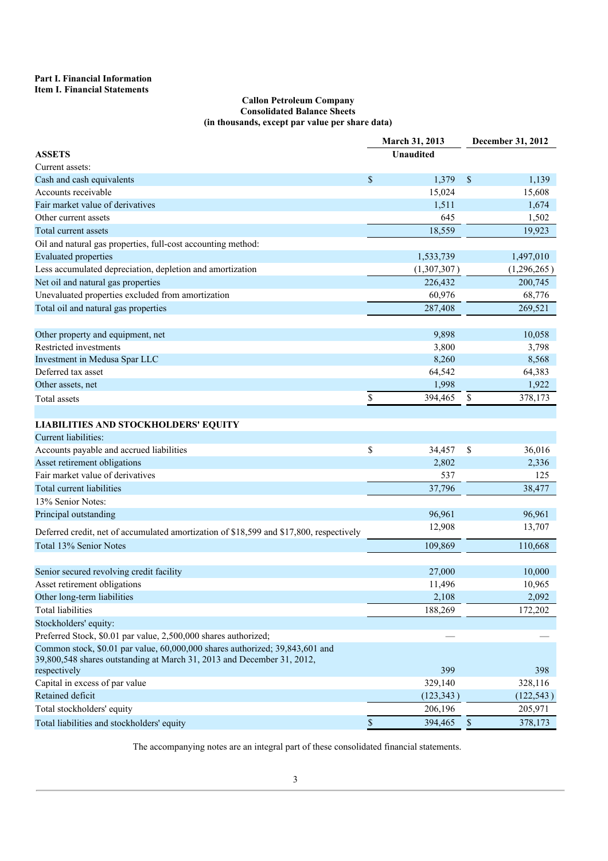### **Part I. Financial Information Item I. Financial Statements**

### **Callon Petroleum Company Consolidated Balance Sheets (in thousands, except par value per share data)**

|                                                                                                                                                        |               | March 31, 2013   | December 31, 2012 |             |  |  |  |
|--------------------------------------------------------------------------------------------------------------------------------------------------------|---------------|------------------|-------------------|-------------|--|--|--|
| <b>ASSETS</b>                                                                                                                                          |               | <b>Unaudited</b> |                   |             |  |  |  |
| Current assets:                                                                                                                                        |               |                  |                   |             |  |  |  |
| Cash and cash equivalents                                                                                                                              | \$            | 1,379            | \$                | 1,139       |  |  |  |
| Accounts receivable                                                                                                                                    |               | 15,024           |                   | 15,608      |  |  |  |
| Fair market value of derivatives                                                                                                                       |               | 1,511            |                   | 1,674       |  |  |  |
| Other current assets                                                                                                                                   |               | 645              |                   | 1,502       |  |  |  |
| Total current assets                                                                                                                                   |               | 18,559           |                   | 19,923      |  |  |  |
| Oil and natural gas properties, full-cost accounting method:                                                                                           |               |                  |                   |             |  |  |  |
| <b>Evaluated properties</b>                                                                                                                            |               | 1,533,739        |                   | 1,497,010   |  |  |  |
| Less accumulated depreciation, depletion and amortization                                                                                              |               | (1,307,307)      |                   | (1,296,265) |  |  |  |
| Net oil and natural gas properties                                                                                                                     |               | 226,432          |                   | 200,745     |  |  |  |
| Unevaluated properties excluded from amortization                                                                                                      |               | 60,976           |                   | 68,776      |  |  |  |
| Total oil and natural gas properties                                                                                                                   |               | 287,408          |                   | 269,521     |  |  |  |
| Other property and equipment, net                                                                                                                      |               | 9,898            |                   | 10,058      |  |  |  |
| Restricted investments                                                                                                                                 |               | 3,800            |                   | 3,798       |  |  |  |
| Investment in Medusa Spar LLC                                                                                                                          |               | 8,260            |                   | 8,568       |  |  |  |
| Deferred tax asset                                                                                                                                     |               | 64,542           |                   | 64,383      |  |  |  |
| Other assets, net                                                                                                                                      |               | 1,998            |                   | 1,922       |  |  |  |
| Total assets                                                                                                                                           | \$            | 394,465          | \$                | 378,173     |  |  |  |
|                                                                                                                                                        |               |                  |                   |             |  |  |  |
| <b>LIABILITIES AND STOCKHOLDERS' EQUITY</b>                                                                                                            |               |                  |                   |             |  |  |  |
| Current liabilities:                                                                                                                                   |               |                  |                   |             |  |  |  |
| Accounts payable and accrued liabilities                                                                                                               | \$            | 34,457           | \$                | 36,016      |  |  |  |
| Asset retirement obligations                                                                                                                           |               | 2,802            |                   | 2,336       |  |  |  |
| Fair market value of derivatives                                                                                                                       |               | 537              |                   | 125         |  |  |  |
| Total current liabilities                                                                                                                              |               | 37,796           |                   | 38,477      |  |  |  |
| 13% Senior Notes:                                                                                                                                      |               |                  |                   |             |  |  |  |
| Principal outstanding                                                                                                                                  |               | 96,961           |                   | 96,961      |  |  |  |
| Deferred credit, net of accumulated amortization of \$18,599 and \$17,800, respectively                                                                |               | 12,908           |                   | 13,707      |  |  |  |
| Total 13% Senior Notes                                                                                                                                 |               | 109,869          |                   | 110,668     |  |  |  |
|                                                                                                                                                        |               |                  |                   |             |  |  |  |
| Senior secured revolving credit facility                                                                                                               |               | 27,000           |                   | 10,000      |  |  |  |
| Asset retirement obligations                                                                                                                           |               | 11,496           |                   | 10,965      |  |  |  |
| Other long-term liabilities                                                                                                                            |               | 2,108            |                   | 2,092       |  |  |  |
| <b>Total liabilities</b>                                                                                                                               |               | 188,269          |                   | 172,202     |  |  |  |
| Stockholders' equity:                                                                                                                                  |               |                  |                   |             |  |  |  |
| Preferred Stock, \$0.01 par value, 2,500,000 shares authorized;                                                                                        |               |                  |                   |             |  |  |  |
| Common stock, \$0.01 par value, 60,000,000 shares authorized; 39,843,601 and<br>39,800,548 shares outstanding at March 31, 2013 and December 31, 2012, |               |                  |                   |             |  |  |  |
| respectively                                                                                                                                           |               | 399              |                   | 398         |  |  |  |
| Capital in excess of par value                                                                                                                         |               | 329,140          |                   | 328,116     |  |  |  |
| Retained deficit                                                                                                                                       |               | (123, 343)       |                   | (122, 543)  |  |  |  |
| Total stockholders' equity                                                                                                                             |               | 206,196          |                   | 205,971     |  |  |  |
| Total liabilities and stockholders' equity                                                                                                             | $\mathsf{\$}$ | 394,465          | $\sqrt{\ }$       | 378,173     |  |  |  |

The accompanying notes are an integral part of these consolidated financial statements.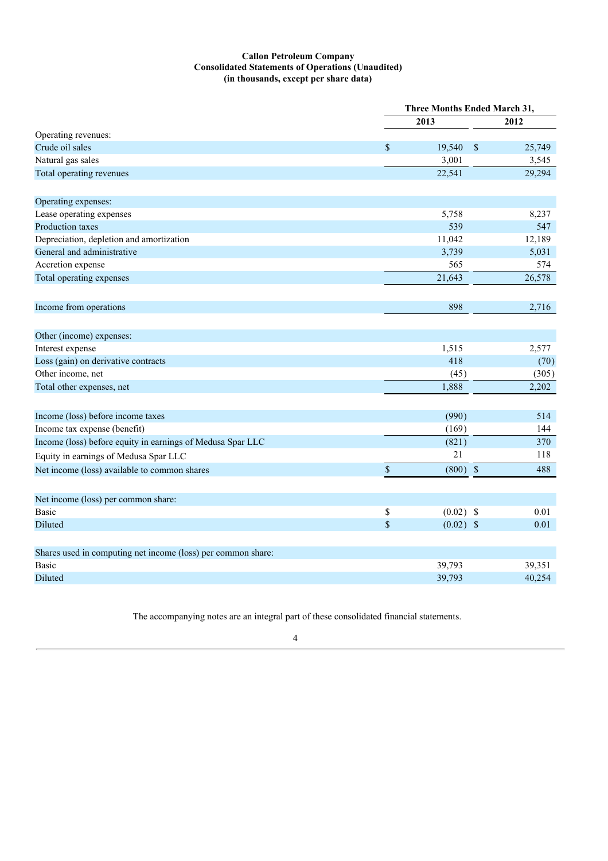# **Callon Petroleum Company Consolidated Statements of Operations (Unaudited) (in thousands, except per share data)**

|                                                              | <b>Three Months Ended March 31,</b> |             |    |        |  |
|--------------------------------------------------------------|-------------------------------------|-------------|----|--------|--|
|                                                              |                                     | 2013        |    | 2012   |  |
| Operating revenues:                                          |                                     |             |    |        |  |
| Crude oil sales                                              | $\mathbf S$                         | 19,540      | \$ | 25,749 |  |
| Natural gas sales                                            |                                     | 3,001       |    | 3,545  |  |
| Total operating revenues                                     |                                     | 22,541      |    | 29,294 |  |
| Operating expenses:                                          |                                     |             |    |        |  |
| Lease operating expenses                                     |                                     | 5,758       |    | 8,237  |  |
| Production taxes                                             |                                     | 539         |    | 547    |  |
| Depreciation, depletion and amortization                     |                                     | 11,042      |    | 12,189 |  |
| General and administrative                                   |                                     | 3,739       |    | 5,031  |  |
| Accretion expense                                            |                                     | 565         |    | 574    |  |
| Total operating expenses                                     |                                     | 21,643      |    | 26,578 |  |
| Income from operations                                       |                                     | 898         |    | 2,716  |  |
| Other (income) expenses:                                     |                                     |             |    |        |  |
| Interest expense                                             |                                     | 1,515       |    | 2,577  |  |
| Loss (gain) on derivative contracts                          |                                     | 418         |    | (70)   |  |
| Other income, net                                            |                                     | (45)        |    | (305)  |  |
| Total other expenses, net                                    |                                     | 1,888       |    | 2,202  |  |
| Income (loss) before income taxes                            |                                     | (990)       |    | 514    |  |
| Income tax expense (benefit)                                 |                                     | (169)       |    | 144    |  |
| Income (loss) before equity in earnings of Medusa Spar LLC   |                                     | (821)       |    | 370    |  |
| Equity in earnings of Medusa Spar LLC                        |                                     | 21          |    | 118    |  |
| Net income (loss) available to common shares                 | $\mathbb{S}$                        | $(800)$ \$  |    | 488    |  |
| Net income (loss) per common share:                          |                                     |             |    |        |  |
| <b>Basic</b>                                                 | $\mathbb S$                         | $(0.02)$ \$ |    | 0.01   |  |
| Diluted                                                      | $\mathsf{\$}$                       | $(0.02)$ \$ |    | 0.01   |  |
| Shares used in computing net income (loss) per common share: |                                     |             |    |        |  |
| <b>Basic</b>                                                 |                                     | 39,793      |    | 39,351 |  |
| Diluted                                                      |                                     | 39,793      |    | 40,254 |  |

The accompanying notes are an integral part of these consolidated financial statements.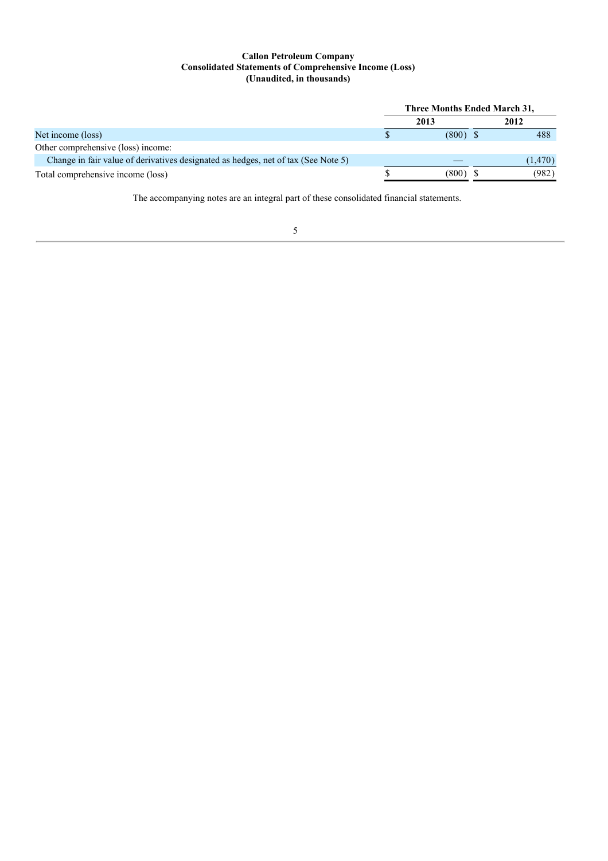#### **Callon Petroleum Company Consolidated Statements of Comprehensive Income (Loss) (Unaudited, in thousands)**

|                                                                                   | Three Months Ended March 31, |            |  |          |  |  |
|-----------------------------------------------------------------------------------|------------------------------|------------|--|----------|--|--|
|                                                                                   | 2013                         |            |  | 2012     |  |  |
| Net income (loss)                                                                 |                              | $(800)$ \$ |  | 488      |  |  |
| Other comprehensive (loss) income:                                                |                              |            |  |          |  |  |
| Change in fair value of derivatives designated as hedges, net of tax (See Note 5) |                              |            |  | (1, 470) |  |  |
| Total comprehensive income (loss)                                                 |                              | (800)      |  | (982)    |  |  |

The accompanying notes are an integral part of these consolidated financial statements.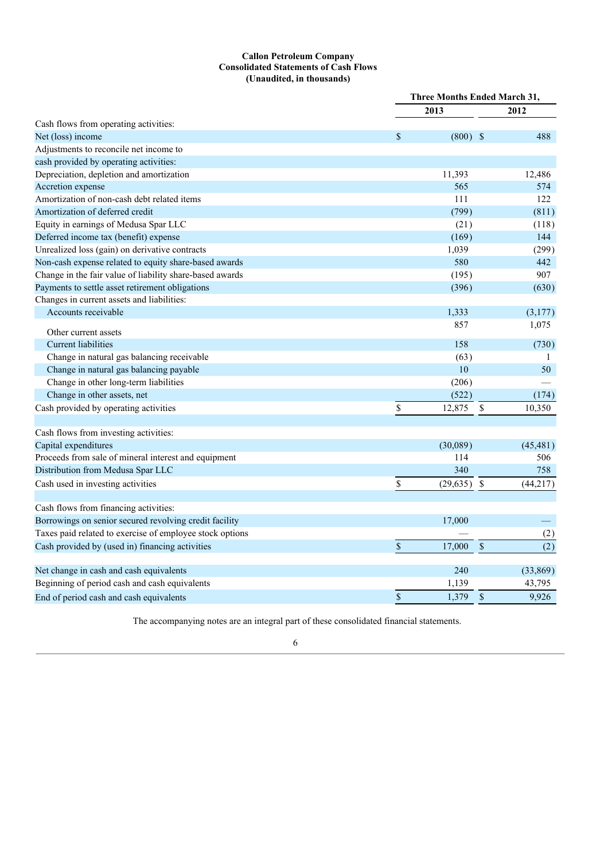# **Callon Petroleum Company Consolidated Statements of Cash Flows (Unaudited, in thousands)**

|                                                          |                           | Three Months Ended March 31, |           |  |  |
|----------------------------------------------------------|---------------------------|------------------------------|-----------|--|--|
|                                                          |                           | 2013                         | 2012      |  |  |
| Cash flows from operating activities:                    |                           |                              |           |  |  |
| Net (loss) income                                        | \$                        | $(800)$ \$                   | 488       |  |  |
| Adjustments to reconcile net income to                   |                           |                              |           |  |  |
| cash provided by operating activities:                   |                           |                              |           |  |  |
| Depreciation, depletion and amortization                 |                           | 11,393                       | 12,486    |  |  |
| Accretion expense                                        |                           | 565                          | 574       |  |  |
| Amortization of non-cash debt related items              |                           | 111                          | 122       |  |  |
| Amortization of deferred credit                          |                           | (799)                        | (811)     |  |  |
| Equity in earnings of Medusa Spar LLC                    |                           | (21)                         | (118)     |  |  |
| Deferred income tax (benefit) expense                    |                           | (169)                        | 144       |  |  |
| Unrealized loss (gain) on derivative contracts           |                           | 1,039                        | (299)     |  |  |
| Non-cash expense related to equity share-based awards    |                           | 580                          | 442       |  |  |
| Change in the fair value of liability share-based awards |                           | (195)                        | 907       |  |  |
| Payments to settle asset retirement obligations          |                           | (396)                        | (630)     |  |  |
| Changes in current assets and liabilities:               |                           |                              |           |  |  |
| Accounts receivable                                      |                           | 1,333                        | (3,177)   |  |  |
| Other current assets                                     |                           | 857                          | 1,075     |  |  |
| <b>Current liabilities</b>                               |                           | 158                          | (730)     |  |  |
| Change in natural gas balancing receivable               |                           | (63)                         | -1        |  |  |
| Change in natural gas balancing payable                  |                           | 10                           | 50        |  |  |
| Change in other long-term liabilities                    |                           | (206)                        |           |  |  |
| Change in other assets, net                              |                           | (522)                        | (174)     |  |  |
| Cash provided by operating activities                    | \$                        | \$<br>12,875                 | 10,350    |  |  |
|                                                          |                           |                              |           |  |  |
| Cash flows from investing activities:                    |                           |                              |           |  |  |
| Capital expenditures                                     |                           | (30,089)                     | (45, 481) |  |  |
| Proceeds from sale of mineral interest and equipment     |                           | 114                          | 506       |  |  |
| Distribution from Medusa Spar LLC                        |                           | 340                          | 758       |  |  |
| Cash used in investing activities                        | \$                        | $\mathbb{S}$<br>(29, 635)    | (44,217)  |  |  |
|                                                          |                           |                              |           |  |  |
| Cash flows from financing activities:                    |                           |                              |           |  |  |
| Borrowings on senior secured revolving credit facility   |                           | 17,000                       |           |  |  |
| Taxes paid related to exercise of employee stock options |                           |                              | (2)       |  |  |
| Cash provided by (used in) financing activities          | $\boldsymbol{\mathsf{S}}$ | $\mathbb{S}$<br>17,000       | (2)       |  |  |
|                                                          |                           |                              |           |  |  |
| Net change in cash and cash equivalents                  |                           | 240                          | (33,869)  |  |  |
| Beginning of period cash and cash equivalents            |                           | 1,139                        | 43,795    |  |  |
| End of period cash and cash equivalents                  | \$                        | $\mathsf{\$}$<br>1,379       | 9,926     |  |  |

The accompanying notes are an integral part of these consolidated financial statements.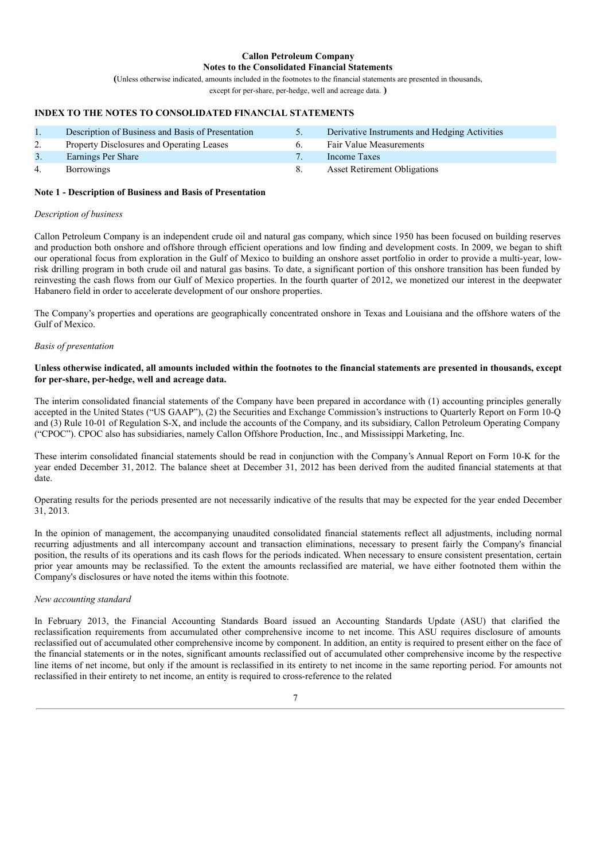#### **Callon Petroleum Company Notes to the Consolidated Financial Statements**

**(**Unless otherwise indicated, amounts included in the footnotes to the financial statements are presented in thousands,

except for per-share, per-hedge, well and acreage data. **)**

### **INDEX TO THE NOTES TO CONSOLIDATED FINANCIAL STATEMENTS**

|    | Description of Business and Basis of Presentation | Derivative Instruments and Hedging Activities |
|----|---------------------------------------------------|-----------------------------------------------|
| 2. | Property Disclosures and Operating Leases         | <b>Fair Value Measurements</b>                |
| 3. | <b>Earnings Per Share</b>                         | Income Taxes                                  |
|    | <b>Borrowings</b>                                 | <b>Asset Retirement Obligations</b>           |

#### **Note 1 - Description of Business and Basis of Presentation**

#### *Description of business*

Callon Petroleum Company is an independent crude oil and natural gas company, which since 1950 has been focused on building reserves and production both onshore and offshore through efficient operations and low finding and development costs. In 2009, we began to shift our operational focus from exploration in the Gulf of Mexico to building an onshore asset portfolio in order to provide a multi-year, lowrisk drilling program in both crude oil and natural gas basins. To date, a significant portion of this onshore transition has been funded by reinvesting the cash flows from our Gulf of Mexico properties. In the fourth quarter of 2012, we monetized our interest in the deepwater Habanero field in order to accelerate development of our onshore properties.

The Company's properties and operations are geographically concentrated onshore in Texas and Louisiana and the offshore waters of the Gulf of Mexico.

#### *Basis of presentation*

## Unless otherwise indicated, all amounts included within the footnotes to the financial statements are presented in thousands, except **for per-share, per-hedge, well and acreage data.**

The interim consolidated financial statements of the Company have been prepared in accordance with (1) accounting principles generally accepted in the United States ("US GAAP"), (2) the Securities and Exchange Commission's instructions to Quarterly Report on Form 10-Q and (3) Rule 10-01 of Regulation S-X, and include the accounts of the Company, and its subsidiary, Callon Petroleum Operating Company ("CPOC"). CPOC also has subsidiaries, namely Callon Offshore Production, Inc., and Mississippi Marketing, Inc.

These interim consolidated financial statements should be read in conjunction with the Company's Annual Report on Form 10-K for the year ended December 31, 2012. The balance sheet at December 31, 2012 has been derived from the audited financial statements at that date.

Operating results for the periods presented are not necessarily indicative of the results that may be expected for the year ended December 31, 2013.

In the opinion of management, the accompanying unaudited consolidated financial statements reflect all adjustments, including normal recurring adjustments and all intercompany account and transaction eliminations, necessary to present fairly the Company's financial position, the results of its operations and its cash flows for the periods indicated. When necessary to ensure consistent presentation, certain prior year amounts may be reclassified. To the extent the amounts reclassified are material, we have either footnoted them within the Company's disclosures or have noted the items within this footnote.

#### *New accounting standard*

In February 2013, the Financial Accounting Standards Board issued an Accounting Standards Update (ASU) that clarified the reclassification requirements from accumulated other comprehensive income to net income. This ASU requires disclosure of amounts reclassified out of accumulated other comprehensive income by component. In addition, an entity is required to present either on the face of the financial statements or in the notes, significant amounts reclassified out of accumulated other comprehensive income by the respective line items of net income, but only if the amount is reclassified in its entirety to net income in the same reporting period. For amounts not reclassified in their entirety to net income, an entity is required to cross-reference to the related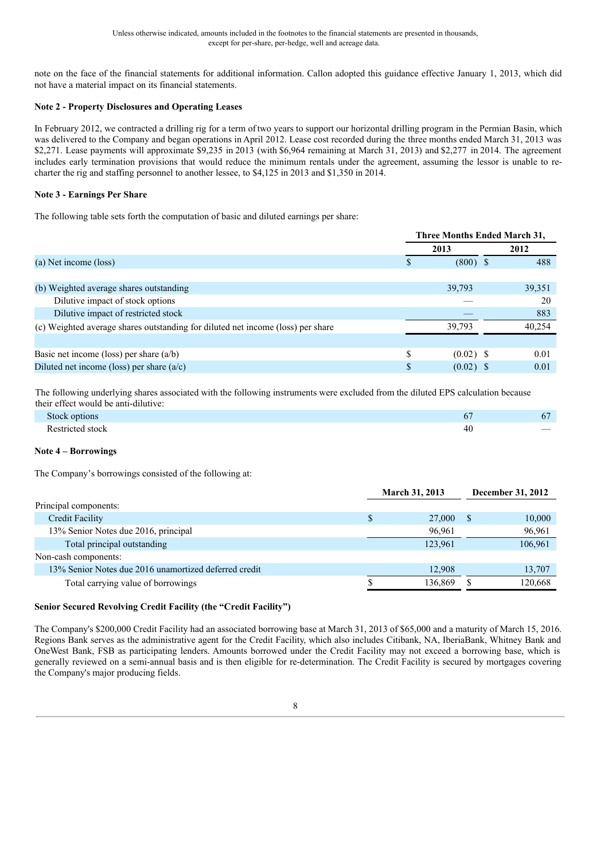note on the face of the financial statements for additional information. Callon adopted this guidance effective January 1, 2013, which did not have a material impact on its financial statements.

# **Note 2 - Property Disclosures and Operating Leases**

In February 2012, we contracted a drilling rig for a term oftwo years to support our horizontal drilling program in the Permian Basin, which was delivered to the Company and began operations in April 2012. Lease cost recorded during the three months ended March 31, 2013 was \$2,271. Lease payments will approximate \$9,235 in 2013 (with \$6,964 remaining at March  $\overline{31}$ , 2013) and \$2,277 in 2014. The agreement includes early termination provisions that would reduce the minimum rentals under the agreement, assuming the lessor is unable to recharter the rig and staffing personnel to another lessee, to \$4,125 in 2013 and \$1,350 in 2014.

# **Note 3 - Earnings Per Share**

The following table sets forth the computation of basic and diluted earnings per share:

|                                                                                 |    | Three Months Ended March 31, |  |        |  |  |  |
|---------------------------------------------------------------------------------|----|------------------------------|--|--------|--|--|--|
|                                                                                 |    | 2013                         |  | 2012   |  |  |  |
| (a) Net income (loss)                                                           |    | $(800)$ \$                   |  | 488    |  |  |  |
|                                                                                 |    |                              |  |        |  |  |  |
| (b) Weighted average shares outstanding                                         |    | 39,793                       |  | 39,351 |  |  |  |
| Dilutive impact of stock options                                                |    |                              |  | 20     |  |  |  |
| Dilutive impact of restricted stock                                             |    |                              |  | 883    |  |  |  |
| (c) Weighted average shares outstanding for diluted net income (loss) per share |    | 39.793                       |  | 40,254 |  |  |  |
|                                                                                 |    |                              |  |        |  |  |  |
| Basic net income (loss) per share $(a/b)$                                       | S  | $(0.02)$ \$                  |  | 0.01   |  |  |  |
| Diluted net income (loss) per share $(a/c)$                                     | \$ | $(0.02)$ \$                  |  | 0.01   |  |  |  |
|                                                                                 |    |                              |  |        |  |  |  |

The following underlying shares associated with the following instruments were excluded from the diluted EPS calculation because their effect would be anti-dilutive:

| Stock options         | $\mathbf{U}$ |    |
|-----------------------|--------------|----|
| Restricted stock<br>. | 40 O<br>πv   | __ |

# **Note 4 – Borrowings**

The Company's borrowings consisted of the following at:

|                                                       | <b>March 31, 2013</b> |         |    | December 31, 2012 |
|-------------------------------------------------------|-----------------------|---------|----|-------------------|
| Principal components:                                 |                       |         |    |                   |
| Credit Facility                                       | S                     | 27,000  | -S | 10,000            |
| 13% Senior Notes due 2016, principal                  |                       | 96.961  |    | 96,961            |
| Total principal outstanding                           |                       | 123.961 |    | 106,961           |
| Non-cash components:                                  |                       |         |    |                   |
| 13% Senior Notes due 2016 unamortized deferred credit |                       | 12.908  |    | 13.707            |
| Total carrying value of borrowings                    |                       | 136,869 |    | 120,668           |

# **Senior Secured Revolving Credit Facility (the "Credit Facility")**

The Company's \$200,000 Credit Facility had an associated borrowing base at March 31, 2013 of \$65,000 and a maturity of March 15, 2016. Regions Bank serves as the administrative agent for the Credit Facility, which also includes Citibank, NA, IberiaBank, Whitney Bank and OneWest Bank, FSB as participating lenders. Amounts borrowed under the Credit Facility may not exceed a borrowing base, which is generally reviewed on a semi-annual basis and is then eligible for re-determination. The Credit Facility is secured by mortgages covering the Company's major producing fields.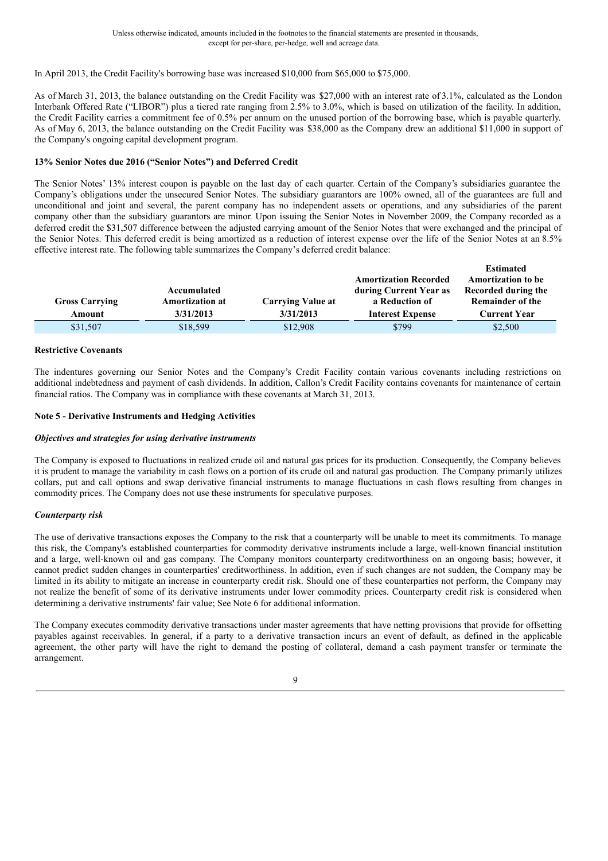In April 2013, the Credit Facility's borrowing base was increased \$10,000 from \$65,000 to \$75,000.

As of March 31, 2013, the balance outstanding on the Credit Facility was \$27,000 with an interest rate of3.1%, calculated as the London Interbank Offered Rate ("LIBOR") plus a tiered rate ranging from 2.5% to 3.0%, which is based on utilization of the facility. In addition, the Credit Facility carries a commitment fee of 0.5% per annum on the unused portion of the borrowing base, which is payable quarterly. As of May 6, 2013, the balance outstanding on the Credit Facility was \$38,000 as the Company drew an additional \$11,000 in support of the Company's ongoing capital development program.

# **13% Senior Notes due 2016 ("Senior Notes") and Deferred Credit**

The Senior Notes' 13% interest coupon is payable on the last day of each quarter. Certain of the Company's subsidiaries guarantee the Company's obligations under the unsecured Senior Notes. The subsidiary guarantors are 100% owned, all of the guarantees are full and unconditional and joint and several, the parent company has no independent assets or operations, and any subsidiaries of the parent company other than the subsidiary guarantors are minor. Upon issuing the Senior Notes in November 2009, the Company recorded as a deferred credit the \$31,507 difference between the adjusted carrying amount of the Senior Notes that were exchanged and the principal of the Senior Notes. This deferred credit is being amortized as a reduction of interest expense over the life of the Senior Notes at an 8.5% effective interest rate. The following table summarizes the Company's deferred credit balance:

|                       |                        |                          |                              | <b>Estimated</b>          |
|-----------------------|------------------------|--------------------------|------------------------------|---------------------------|
|                       |                        |                          | <b>Amortization Recorded</b> | <b>Amortization to be</b> |
|                       | Accumulated            |                          | during Current Year as       | Recorded during the       |
| <b>Gross Carrying</b> | <b>Amortization at</b> | <b>Carrying Value at</b> | a Reduction of               | <b>Remainder of the</b>   |
| Amount                | 3/31/2013              | 3/31/2013                | <b>Interest Expense</b>      | <b>Current Year</b>       |
| \$31,507              | \$18,599               | \$12,908                 | \$799                        | \$2,500                   |

# **Restrictive Covenants**

The indentures governing our Senior Notes and the Company's Credit Facility contain various covenants including restrictions on additional indebtedness and payment of cash dividends. In addition, Callon's Credit Facility contains covenants for maintenance of certain financial ratios. The Company was in compliance with these covenants at March 31, 2013.

#### **Note 5 - Derivative Instruments and Hedging Activities**

#### *Objectives and strategies for using derivative instruments*

The Company is exposed to fluctuations in realized crude oil and natural gas prices for its production. Consequently, the Company believes it is prudent to manage the variability in cash flows on a portion of its crude oil and natural gas production. The Company primarily utilizes collars, put and call options and swap derivative financial instruments to manage fluctuations in cash flows resulting from changes in commodity prices. The Company does not use these instruments for speculative purposes.

#### *Counterparty risk*

The use of derivative transactions exposes the Company to the risk that a counterparty will be unable to meet its commitments. To manage this risk, the Company's established counterparties for commodity derivative instruments include a large, well-known financial institution and a large, well-known oil and gas company. The Company monitors counterparty creditworthiness on an ongoing basis; however, it cannot predict sudden changes in counterparties' creditworthiness. In addition, even if such changes are not sudden, the Company may be limited in its ability to mitigate an increase in counterparty credit risk. Should one of these counterparties not perform, the Company may not realize the benefit of some of its derivative instruments under lower commodity prices. Counterparty credit risk is considered when determining a derivative instruments' fair value; See Note 6 for additional information.

The Company executes commodity derivative transactions under master agreements that have netting provisions that provide for offsetting payables against receivables. In general, if a party to a derivative transaction incurs an event of default, as defined in the applicable agreement, the other party will have the right to demand the posting of collateral, demand a cash payment transfer or terminate the arrangement.

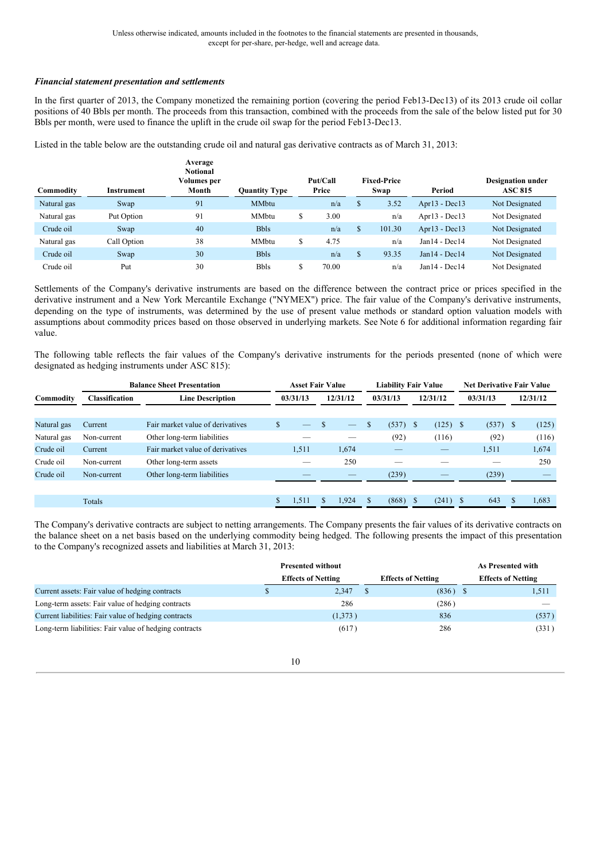# *Financial statement presentation and settlements*

In the first quarter of 2013, the Company monetized the remaining portion (covering the period Feb13-Dec13) of its 2013 crude oil collar positions of 40 Bbls per month. The proceeds from this transaction, combined with the proceeds from the sale of the below listed put for 30 Bbls per month, were used to finance the uplift in the crude oil swap for the period Feb13-Dec13.

Listed in the table below are the outstanding crude oil and natural gas derivative contracts as of March 31, 2013:

| Commodity   | Instrument  | Average<br><b>Notional</b><br>Volumes per<br>Month | <b>Quantity Type</b> |    | Put/Call<br>Price |    |        |                  |                |  | <b>Fixed-Price</b><br>Swap | Period | <b>Designation under</b><br><b>ASC 815</b> |
|-------------|-------------|----------------------------------------------------|----------------------|----|-------------------|----|--------|------------------|----------------|--|----------------------------|--------|--------------------------------------------|
| Natural gas | Swap        | 91                                                 | MMbtu                |    | n/a               | \$ | 3.52   | $April3 - Decl3$ | Not Designated |  |                            |        |                                            |
| Natural gas | Put Option  | 91                                                 | MMbtu                | \$ | 3.00              |    | n/a    | $April3 - Dec13$ | Not Designated |  |                            |        |                                            |
| Crude oil   | Swap        | 40                                                 | <b>Bbls</b>          |    | n/a               | \$ | 101.30 | $April3 - Dec13$ | Not Designated |  |                            |        |                                            |
| Natural gas | Call Option | 38                                                 | MMbtu                | \$ | 4.75              |    | n/a    | $Jan14 - Dec14$  | Not Designated |  |                            |        |                                            |
| Crude oil   | Swap        | 30                                                 | <b>Bbls</b>          |    | n/a               | \$ | 93.35  | $Jan14 - Dec14$  | Not Designated |  |                            |        |                                            |
| Crude oil   | Put         | 30                                                 | <b>Bbls</b>          | \$ | 70.00             |    | n/a    | $Jan14 - Dec14$  | Not Designated |  |                            |        |                                            |

Settlements of the Company's derivative instruments are based on the difference between the contract price or prices specified in the derivative instrument and a New York Mercantile Exchange ("NYMEX") price. The fair value of the Company's derivative instruments, depending on the type of instruments, was determined by the use of present value methods or standard option valuation models with assumptions about commodity prices based on those observed in underlying markets. See Note 6 for additional information regarding fair value.

The following table reflects the fair values of the Company's derivative instruments for the periods presented (none of which were designated as hedging instruments under ASC 815):

|             | <b>Balance Sheet Presentation</b> |                                  |          | <b>Asset Fair Value</b> |     |       |               | <b>Liability Fair Value</b> |      | <b>Net Derivative Fair Value</b> |  |            |               |       |          |  |  |  |  |  |  |  |          |  |  |  |          |  |          |  |
|-------------|-----------------------------------|----------------------------------|----------|-------------------------|-----|-------|---------------|-----------------------------|------|----------------------------------|--|------------|---------------|-------|----------|--|--|--|--|--|--|--|----------|--|--|--|----------|--|----------|--|
| Commodity   | <b>Classification</b>             | <b>Line Description</b>          | 03/31/13 |                         |     |       | 12/31/12      |                             |      |                                  |  |            |               |       | 03/31/13 |  |  |  |  |  |  |  | 12/31/12 |  |  |  | 03/31/13 |  | 12/31/12 |  |
| Natural gas | Current                           | Fair market value of derivatives | \$       |                         | \$  |       | <sup>\$</sup> | $(537)$ \$                  |      | $(125)$ \$                       |  | $(537)$ \$ |               | (125) |          |  |  |  |  |  |  |  |          |  |  |  |          |  |          |  |
| Natural gas | Non-current                       | Other long-term liabilities      |          |                         |     |       |               | (92)                        |      | (116)                            |  | (92)       |               | (116) |          |  |  |  |  |  |  |  |          |  |  |  |          |  |          |  |
| Crude oil   | Current                           | Fair market value of derivatives |          | 1,511                   |     | 1,674 |               |                             |      |                                  |  | 1,511      |               | 1,674 |          |  |  |  |  |  |  |  |          |  |  |  |          |  |          |  |
| Crude oil   | Non-current                       | Other long-term assets           |          |                         |     | 250   |               |                             |      |                                  |  |            |               | 250   |          |  |  |  |  |  |  |  |          |  |  |  |          |  |          |  |
| Crude oil   | Non-current                       | Other long-term liabilities      |          |                         |     |       |               | (239)                       |      |                                  |  | (239)      |               |       |          |  |  |  |  |  |  |  |          |  |  |  |          |  |          |  |
|             |                                   |                                  |          |                         |     |       |               |                             |      |                                  |  |            |               |       |          |  |  |  |  |  |  |  |          |  |  |  |          |  |          |  |
|             | Totals                            |                                  | S.       | 1,511                   | \$. | 1,924 | <b>S</b>      | (868)                       | - \$ | $(241)$ \$                       |  | 643        | <sup>\$</sup> | 1,683 |          |  |  |  |  |  |  |  |          |  |  |  |          |  |          |  |

The Company's derivative contracts are subject to netting arrangements. The Company presents the fair values of its derivative contracts on the balance sheet on a net basis based on the underlying commodity being hedged. The following presents the impact of this presentation to the Company's recognized assets and liabilities at March 31, 2013:

|                                                        | <b>Presented without</b> |                           |  |                           | As Presented with |                           |
|--------------------------------------------------------|--------------------------|---------------------------|--|---------------------------|-------------------|---------------------------|
|                                                        |                          | <b>Effects of Netting</b> |  | <b>Effects of Netting</b> |                   | <b>Effects of Netting</b> |
| Current assets: Fair value of hedging contracts        |                          | 2.347                     |  | $(836)$ \$                |                   | 1,511                     |
| Long-term assets: Fair value of hedging contracts      |                          | 286                       |  | (286)                     |                   |                           |
| Current liabilities: Fair value of hedging contracts   |                          | (1,373)                   |  | 836                       |                   | (537)                     |
| Long-term liabilities: Fair value of hedging contracts |                          | (617)                     |  | 286                       |                   | (331)                     |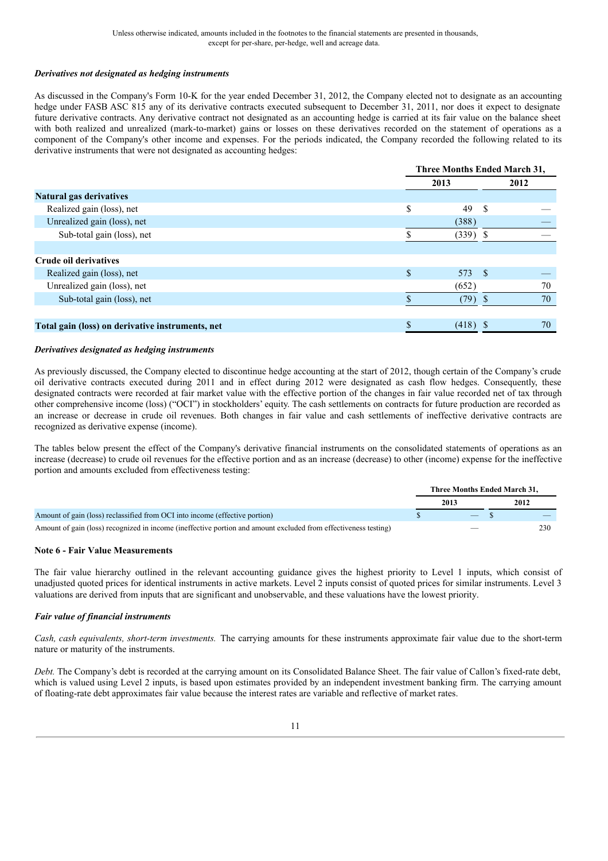# *Derivatives not designated as hedging instruments*

As discussed in the Company's Form 10-K for the year ended December 31, 2012, the Company elected not to designate as an accounting hedge under FASB ASC 815 any of its derivative contracts executed subsequent to December 31, 2011, nor does it expect to designate future derivative contracts. Any derivative contract not designated as an accounting hedge is carried at its fair value on the balance sheet with both realized and unrealized (mark-to-market) gains or losses on these derivatives recorded on the statement of operations as a component of the Company's other income and expenses. For the periods indicated, the Company recorded the following related to its derivative instruments that were not designated as accounting hedges:

|                                                  |    | Three Months Ended March 31, |      |      |  |  |
|--------------------------------------------------|----|------------------------------|------|------|--|--|
|                                                  |    | 2013                         |      | 2012 |  |  |
| <b>Natural gas derivatives</b>                   |    |                              |      |      |  |  |
| Realized gain (loss), net                        | S  | 49                           | -S   |      |  |  |
| Unrealized gain (loss), net                      |    | (388)                        |      |      |  |  |
| Sub-total gain (loss), net                       |    | $(339)$ \$                   |      |      |  |  |
|                                                  |    |                              |      |      |  |  |
| Crude oil derivatives                            |    |                              |      |      |  |  |
| Realized gain (loss), net                        | \$ | 573                          | - \$ |      |  |  |
| Unrealized gain (loss), net                      |    | (652)                        |      | 70   |  |  |
| Sub-total gain (loss), net                       |    | (79)                         | -S   | 70   |  |  |
|                                                  |    |                              |      |      |  |  |
| Total gain (loss) on derivative instruments, net |    | $(418)$ \$                   |      | 70   |  |  |

# *Derivatives designated as hedging instruments*

As previously discussed, the Company elected to discontinue hedge accounting at the start of 2012, though certain of the Company's crude oil derivative contracts executed during 2011 and in effect during 2012 were designated as cash flow hedges. Consequently, these designated contracts were recorded at fair market value with the effective portion of the changes in fair value recorded net of tax through other comprehensive income (loss) ("OCI") in stockholders' equity. The cash settlements on contracts for future production are recorded as an increase or decrease in crude oil revenues. Both changes in fair value and cash settlements of ineffective derivative contracts are recognized as derivative expense (income).

The tables below present the effect of the Company's derivative financial instruments on the consolidated statements of operations as an increase (decrease) to crude oil revenues for the effective portion and as an increase (decrease) to other (income) expense for the ineffective portion and amounts excluded from effectiveness testing:

|                                                                                                                 | Three Months Ended March 31. |      |
|-----------------------------------------------------------------------------------------------------------------|------------------------------|------|
|                                                                                                                 | 2013                         | 2012 |
| Amount of gain (loss) reclassified from OCI into income (effective portion)                                     |                              |      |
| Amount of gain (loss) recognized in income (ineffective portion and amount excluded from effectiveness testing) |                              | 230  |

# **Note 6 - Fair Value Measurements**

The fair value hierarchy outlined in the relevant accounting guidance gives the highest priority to Level 1 inputs, which consist of unadjusted quoted prices for identical instruments in active markets. Level 2 inputs consist of quoted prices for similar instruments. Level 3 valuations are derived from inputs that are significant and unobservable, and these valuations have the lowest priority.

# *Fair value of financial instruments*

*Cash, cash equivalents, short-term investments.* The carrying amounts for these instruments approximate fair value due to the short-term nature or maturity of the instruments.

*Debt.* The Company's debt is recorded at the carrying amount on its Consolidated Balance Sheet. The fair value of Callon's fixed-rate debt, which is valued using Level 2 inputs, is based upon estimates provided by an independent investment banking firm. The carrying amount of floating-rate debt approximates fair value because the interest rates are variable and reflective of market rates.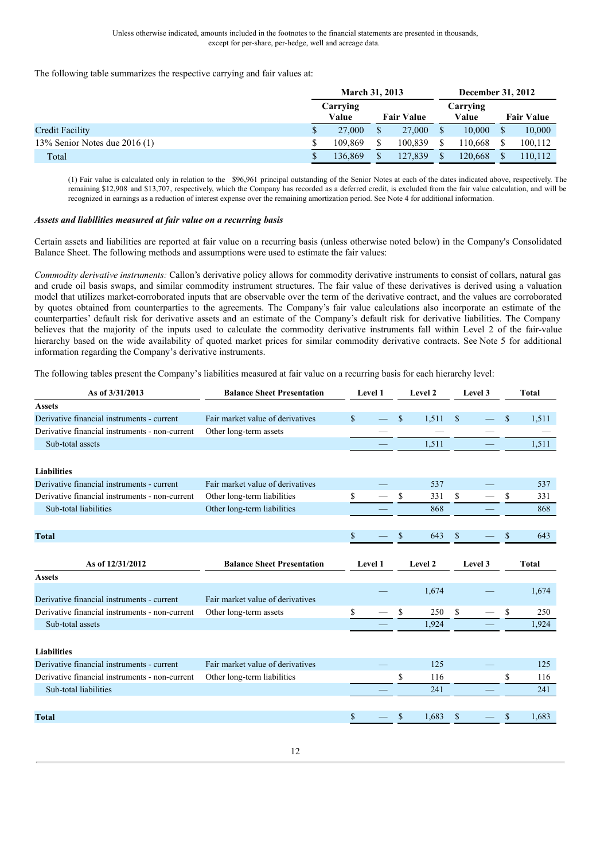#### Unless otherwise indicated, amounts included in the footnotes to the financial statements are presented in thousands, except for per-share, per-hedge, well and acreage data.

The following table summarizes the respective carrying and fair values at:

|                               | <b>March 31, 2013</b> |  |                   |   |                   | December 31, 2012 |                   |
|-------------------------------|-----------------------|--|-------------------|---|-------------------|-------------------|-------------------|
|                               | Carrying<br>Value     |  | <b>Fair Value</b> |   | Carrving<br>Value |                   | <b>Fair Value</b> |
| <b>Credit Facility</b>        | 27,000                |  | 27,000            |   | 10,000            |                   | 10,000            |
| 13% Senior Notes due 2016 (1) | 109.869               |  | 100.839           |   | 110.668           |                   | 100,112           |
| Total                         | 136.869               |  | 127,839           | S | 120.668           |                   | 110.112           |

(1) Fair value is calculated only in relation to the \$96,961 principal outstanding of the Senior Notes at each of the dates indicated above, respectively. The remaining \$12,908 and \$13,707, respectively, which the Company has recorded as a deferred credit, is excluded from the fair value calculation, and will be recognized in earnings as a reduction of interest expense over the remaining amortization period. See Note 4 for additional information.

#### *Assets and liabilities measured at fair value on a recurring basis*

Certain assets and liabilities are reported at fair value on a recurring basis (unless otherwise noted below) in the Company's Consolidated Balance Sheet. The following methods and assumptions were used to estimate the fair values:

*Commodity derivative instruments:* Callon's derivative policy allows for commodity derivative instruments to consist of collars, natural gas and crude oil basis swaps, and similar commodity instrument structures. The fair value of these derivatives is derived using a valuation model that utilizes market-corroborated inputs that are observable over the term of the derivative contract, and the values are corroborated by quotes obtained from counterparties to the agreements. The Company's fair value calculations also incorporate an estimate of the counterparties' default risk for derivative assets and an estimate of the Company's default risk for derivative liabilities. The Company believes that the majority of the inputs used to calculate the commodity derivative instruments fall within Level 2 of the fair-value hierarchy based on the wide availability of quoted market prices for similar commodity derivative contracts. See Note 5 for additional information regarding the Company's derivative instruments.

The following tables present the Company's liabilities measured at fair value on a recurring basis for each hierarchy level:

| As of 3/31/2013                                | <b>Balance Sheet Presentation</b> | Level 1      |                                |               | Level 2 | Level 3      |         |               | <b>Total</b> |
|------------------------------------------------|-----------------------------------|--------------|--------------------------------|---------------|---------|--------------|---------|---------------|--------------|
| <b>Assets</b>                                  |                                   |              |                                |               |         |              |         |               |              |
| Derivative financial instruments - current     | Fair market value of derivatives  | $\mathbb{S}$ |                                | $\mathbb{S}$  | 1,511   | $\mathbb{S}$ |         | <sup>\$</sup> | 1,511        |
| Derivative financial instruments - non-current | Other long-term assets            |              |                                |               |         |              |         |               |              |
| Sub-total assets                               |                                   |              |                                |               | 1,511   |              |         |               | 1,511        |
| <b>Liabilities</b>                             |                                   |              |                                |               |         |              |         |               |              |
| Derivative financial instruments - current     | Fair market value of derivatives  |              |                                |               | 537     |              |         |               | 537          |
| Derivative financial instruments - non-current | Other long-term liabilities       | \$           |                                | \$            | 331     | \$           |         | \$            | 331          |
| Sub-total liabilities                          | Other long-term liabilities       |              |                                |               | 868     |              |         |               | 868          |
|                                                |                                   |              |                                |               |         |              |         |               |              |
| <b>Total</b>                                   |                                   | \$           |                                | <sup>\$</sup> | 643     | S.           |         | <sup>\$</sup> | 643          |
| As of 12/31/2012                               | <b>Balance Sheet Presentation</b> |              | Level 1                        |               | Level 2 |              | Level 3 |               | <b>Total</b> |
| <b>Assets</b>                                  |                                   |              |                                |               |         |              |         |               |              |
| Derivative financial instruments - current     | Fair market value of derivatives  |              |                                |               | 1,674   |              |         |               | 1,674        |
| Derivative financial instruments - non-current | Other long-term assets            | \$           |                                | \$            | 250     | \$           |         | S             | 250          |
| Sub-total assets                               |                                   |              |                                |               | 1,924   |              |         |               | 1,924        |
| <b>Liabilities</b>                             |                                   |              |                                |               |         |              |         |               |              |
| Derivative financial instruments - current     | Fair market value of derivatives  |              |                                |               | 125     |              |         |               | 125          |
| Derivative financial instruments - non-current | Other long-term liabilities       |              |                                | \$            | 116     |              |         | \$            | 116          |
| Sub-total liabilities                          |                                   |              |                                |               | 241     |              |         |               | 241          |
| <b>Total</b>                                   |                                   | \$           | $\qquad \qquad \longleftarrow$ | <sup>\$</sup> | 1,683   | \$           |         | <sup>\$</sup> | 1,683        |
|                                                |                                   |              |                                |               |         |              |         |               |              |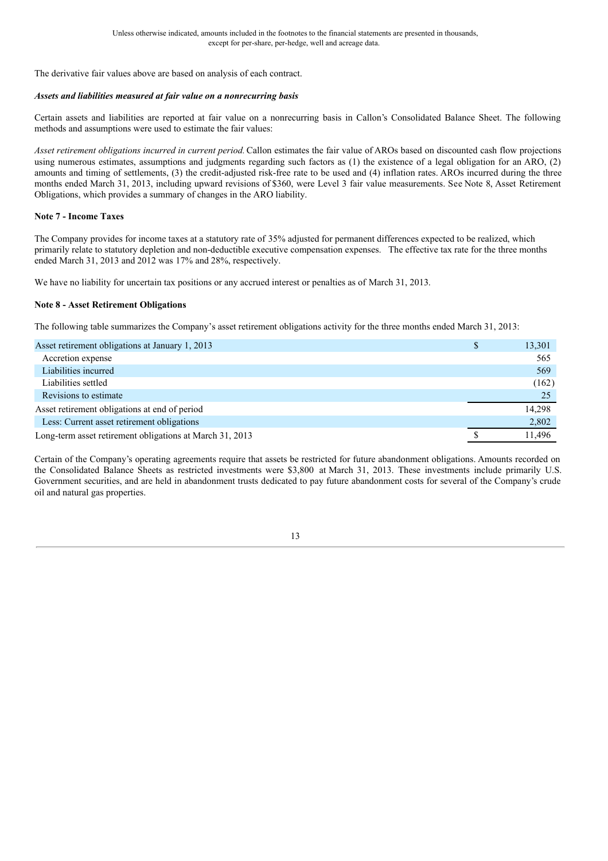The derivative fair values above are based on analysis of each contract.

# *Assets and liabilities measured at fair value on a nonrecurring basis*

Certain assets and liabilities are reported at fair value on a nonrecurring basis in Callon's Consolidated Balance Sheet. The following methods and assumptions were used to estimate the fair values:

*Asset retirement obligations incurred in current period.* Callon estimates the fair value of AROs based on discounted cash flow projections using numerous estimates, assumptions and judgments regarding such factors as (1) the existence of a legal obligation for an ARO, (2) amounts and timing of settlements, (3) the credit-adjusted risk-free rate to be used and (4) inflation rates. AROs incurred during the three months ended March 31, 2013, including upward revisions of \$360, were Level 3 fair value measurements. See Note 8, Asset Retirement Obligations, which provides a summary of changes in the ARO liability.

### **Note 7 - Income Taxes**

The Company provides for income taxes at a statutory rate of 35% adjusted for permanent differences expected to be realized, which primarily relate to statutory depletion and non-deductible executive compensation expenses. The effective tax rate for the three months ended March 31, 2013 and 2012 was 17% and 28%, respectively.

We have no liability for uncertain tax positions or any accrued interest or penalties as of March 31, 2013.

#### **Note 8 - Asset Retirement Obligations**

The following table summarizes the Company's asset retirement obligations activity for the three months ended March 31, 2013:

| Asset retirement obligations at January 1, 2013          | \$<br>13,301 |
|----------------------------------------------------------|--------------|
| Accretion expense                                        | 565          |
| Liabilities incurred                                     | 569          |
| Liabilities settled                                      | (162)        |
| Revisions to estimate                                    | 25           |
| Asset retirement obligations at end of period            | 14,298       |
| Less: Current asset retirement obligations               | 2,802        |
| Long-term asset retirement obligations at March 31, 2013 | 11,496       |

Certain of the Company's operating agreements require that assets be restricted for future abandonment obligations. Amounts recorded on the Consolidated Balance Sheets as restricted investments were \$3,800 at March 31, 2013. These investments include primarily U.S. Government securities, and are held in abandonment trusts dedicated to pay future abandonment costs for several of the Company's crude oil and natural gas properties.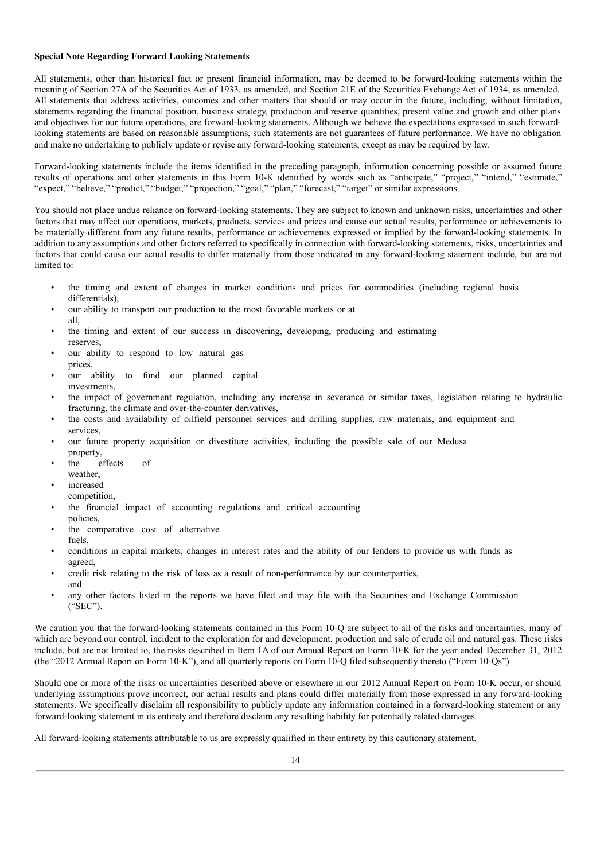## **Special Note Regarding Forward Looking Statements**

All statements, other than historical fact or present financial information, may be deemed to be forward-looking statements within the meaning of Section 27A of the Securities Act of 1933, as amended, and Section 21E of the Securities Exchange Act of 1934, as amended. All statements that address activities, outcomes and other matters that should or may occur in the future, including, without limitation, statements regarding the financial position, business strategy, production and reserve quantities, present value and growth and other plans and objectives for our future operations, are forward-looking statements. Although we believe the expectations expressed in such forwardlooking statements are based on reasonable assumptions, such statements are not guarantees of future performance. We have no obligation and make no undertaking to publicly update or revise any forward-looking statements, except as may be required by law.

Forward-looking statements include the items identified in the preceding paragraph, information concerning possible or assumed future results of operations and other statements in this Form 10-K identified by words such as "anticipate," "project," "intend," "estimate," "expect," "believe," "predict," "budget," "projection," "goal," "plan," "forecast," "target" or similar expressions.

You should not place undue reliance on forward-looking statements. They are subject to known and unknown risks, uncertainties and other factors that may affect our operations, markets, products, services and prices and cause our actual results, performance or achievements to be materially different from any future results, performance or achievements expressed or implied by the forward-looking statements. In addition to any assumptions and other factors referred to specifically in connection with forward-looking statements, risks, uncertainties and factors that could cause our actual results to differ materially from those indicated in any forward-looking statement include, but are not limited to:

- the timing and extent of changes in market conditions and prices for commodities (including regional basis differentials),
- our ability to transport our production to the most favorable markets or at
- the timing and extent of our success in discovering, developing, producing and estimating reserves,
- our ability to respond to low natural gas prices,
- our ability to fund our planned capital investments,
- the impact of government regulation, including any increase in severance or similar taxes, legislation relating to hydraulic fracturing, the climate and over-the-counter derivatives,
- the costs and availability of oilfield personnel services and drilling supplies, raw materials, and equipment and services,
- our future property acquisition or divestiture activities, including the possible sale of our Medusa
- property, the effects of
- weather,

all,

- increased
- competition,
- the financial impact of accounting regulations and critical accounting
- policies, the comparative cost of alternative
- fuels,
- conditions in capital markets, changes in interest rates and the ability of our lenders to provide us with funds as agreed,
- credit risk relating to the risk of loss as a result of non-performance by our counterparties, and
- any other factors listed in the reports we have filed and may file with the Securities and Exchange Commission ("SEC").

We caution you that the forward-looking statements contained in this Form 10-Q are subject to all of the risks and uncertainties, many of which are beyond our control, incident to the exploration for and development, production and sale of crude oil and natural gas. These risks include, but are not limited to, the risks described in Item 1A of our Annual Report on Form 10-K for the year ended December 31, 2012 (the "2012 Annual Report on Form 10-K"), and all quarterly reports on Form 10-Q filed subsequently thereto ("Form 10-Qs").

Should one or more of the risks or uncertainties described above or elsewhere in our 2012 Annual Report on Form 10-K occur, or should underlying assumptions prove incorrect, our actual results and plans could differ materially from those expressed in any forward-looking statements. We specifically disclaim all responsibility to publicly update any information contained in a forward-looking statement or any forward-looking statement in its entirety and therefore disclaim any resulting liability for potentially related damages.

All forward-looking statements attributable to us are expressly qualified in their entirety by this cautionary statement.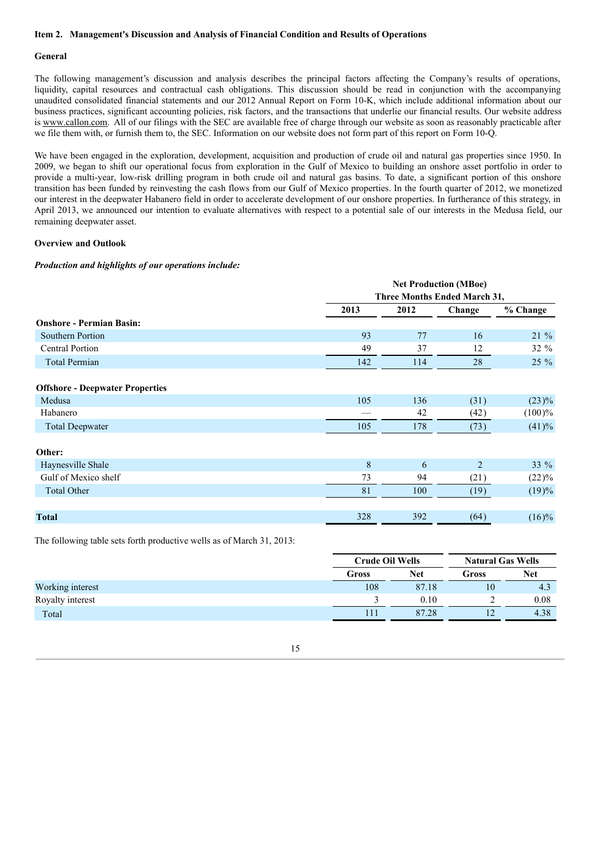#### **General**

The following management's discussion and analysis describes the principal factors affecting the Company's results of operations, liquidity, capital resources and contractual cash obligations. This discussion should be read in conjunction with the accompanying unaudited consolidated financial statements and our 2012 Annual Report on Form 10-K, which include additional information about our business practices, significant accounting policies, risk factors, and the transactions that underlie our financial results. Our website address is www.callon.com. All of our filings with the SEC are available free of charge through our website as soon as reasonably practicable after we file them with, or furnish them to, the SEC. Information on our website does not form part of this report on Form 10-Q.

We have been engaged in the exploration, development, acquisition and production of crude oil and natural gas properties since 1950. In 2009, we began to shift our operational focus from exploration in the Gulf of Mexico to building an onshore asset portfolio in order to provide a multi-year, low-risk drilling program in both crude oil and natural gas basins. To date, a significant portion of this onshore transition has been funded by reinvesting the cash flows from our Gulf of Mexico properties. In the fourth quarter of 2012, we monetized our interest in the deepwater Habanero field in order to accelerate development of our onshore properties. In furtherance of this strategy, in April 2013, we announced our intention to evaluate alternatives with respect to a potential sale of our interests in the Medusa field, our remaining deepwater asset.

### **Overview and Outlook**

#### *Production and highlights of our operations include:*

|                                        |      | <b>Net Production (MBoe)</b> |        |            |  |  |  |  |  |
|----------------------------------------|------|------------------------------|--------|------------|--|--|--|--|--|
|                                        |      | Three Months Ended March 31, |        |            |  |  |  |  |  |
|                                        | 2013 | 2012                         | Change | $%$ Change |  |  |  |  |  |
| <b>Onshore - Permian Basin:</b>        |      |                              |        |            |  |  |  |  |  |
| Southern Portion                       | 93   | 77                           | 16     | $21 \%$    |  |  |  |  |  |
| <b>Central Portion</b>                 | 49   | 37                           | 12     | $32 \%$    |  |  |  |  |  |
| <b>Total Permian</b>                   | 142  | 114                          | 28     | $25 \%$    |  |  |  |  |  |
| <b>Offshore - Deepwater Properties</b> |      |                              |        |            |  |  |  |  |  |
| Medusa                                 | 105  | 136                          | (31)   | $(23)\%$   |  |  |  |  |  |
| Habanero                               |      | 42                           | (42)   | (100)%     |  |  |  |  |  |
| <b>Total Deepwater</b>                 | 105  | 178                          | (73)   | (41)%      |  |  |  |  |  |
| Other:                                 |      |                              |        |            |  |  |  |  |  |
| Haynesville Shale                      | 8    | 6                            | 2      | 33 %       |  |  |  |  |  |
| Gulf of Mexico shelf                   | 73   | 94                           | (21)   | $(22)\%$   |  |  |  |  |  |
| <b>Total Other</b>                     | 81   | 100                          | (19)   | (19)%      |  |  |  |  |  |
| <b>Total</b>                           | 328  | 392                          | (64)   | $(16)\%$   |  |  |  |  |  |
|                                        |      |                              |        |            |  |  |  |  |  |

The following table sets forth productive wells as of March 31, 2013:

|                  | <b>Crude Oil Wells</b> |       | <b>Natural Gas Wells</b> |      |
|------------------|------------------------|-------|--------------------------|------|
|                  | Gross                  | Net   | Gross                    | Net  |
| Working interest | 108                    | 87.18 | 10                       | 4.3  |
| Royalty interest |                        | 0.10  |                          | 0.08 |
| Total            | U                      | 87.28 |                          | 4.38 |

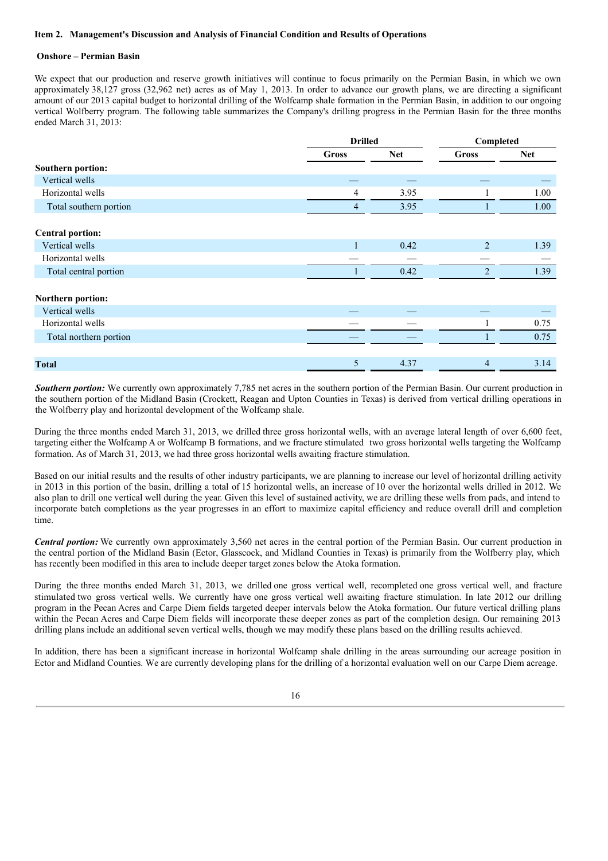### **Onshore – Permian Basin**

We expect that our production and reserve growth initiatives will continue to focus primarily on the Permian Basin, in which we own approximately 38,127 gross (32,962 net) acres as of May 1, 2013. In order to advance our growth plans, we are directing a significant amount of our 2013 capital budget to horizontal drilling of the Wolfcamp shale formation in the Permian Basin, in addition to our ongoing vertical Wolfberry program. The following table summarizes the Company's drilling progress in the Permian Basin for the three months ended March 31, 2013:

|                         | <b>Drilled</b> |            | Completed      |            |  |
|-------------------------|----------------|------------|----------------|------------|--|
|                         | <b>Gross</b>   | <b>Net</b> | <b>Gross</b>   | <b>Net</b> |  |
| Southern portion:       |                |            |                |            |  |
| Vertical wells          |                |            |                |            |  |
| Horizontal wells        | 4              | 3.95       |                | 1.00       |  |
| Total southern portion  | $\overline{4}$ | 3.95       |                | 1.00       |  |
|                         |                |            |                |            |  |
| <b>Central portion:</b> |                |            |                |            |  |
| Vertical wells          |                | 0.42       | $\overline{2}$ | 1.39       |  |
| Horizontal wells        |                |            |                |            |  |
| Total central portion   |                | 0.42       | $\overline{2}$ | 1.39       |  |
|                         |                |            |                |            |  |
| Northern portion:       |                |            |                |            |  |
| Vertical wells          |                |            |                |            |  |
| Horizontal wells        |                |            |                | 0.75       |  |
| Total northern portion  |                |            |                | 0.75       |  |
|                         |                |            |                |            |  |
| <b>Total</b>            | 5              | 4.37       | $\overline{4}$ | 3.14       |  |

*Southern portion:* We currently own approximately 7,785 net acres in the southern portion of the Permian Basin. Our current production in the southern portion of the Midland Basin (Crockett, Reagan and Upton Counties in Texas) is derived from vertical drilling operations in the Wolfberry play and horizontal development of the Wolfcamp shale.

During the three months ended March 31, 2013, we drilled three gross horizontal wells, with an average lateral length of over 6,600 feet, targeting either the Wolfcamp A or Wolfcamp B formations, and we fracture stimulated two gross horizontal wells targeting the Wolfcamp formation. As of March 31, 2013, we had three gross horizontal wells awaiting fracture stimulation.

Based on our initial results and the results of other industry participants, we are planning to increase our level of horizontal drilling activity in 2013 in this portion of the basin, drilling a total of 15 horizontal wells, an increase of 10 over the horizontal wells drilled in 2012. We also plan to drill one vertical well during the year. Given this level of sustained activity, we are drilling these wells from pads, and intend to incorporate batch completions as the year progresses in an effort to maximize capital efficiency and reduce overall drill and completion time.

*Central portion:* We currently own approximately 3,560 net acres in the central portion of the Permian Basin. Our current production in the central portion of the Midland Basin (Ector, Glasscock, and Midland Counties in Texas) is primarily from the Wolfberry play, which has recently been modified in this area to include deeper target zones below the Atoka formation.

During the three months ended March 31, 2013, we drilled one gross vertical well, recompleted one gross vertical well, and fracture stimulated two gross vertical wells. We currently have one gross vertical well awaiting fracture stimulation. In late 2012 our drilling program in the Pecan Acres and Carpe Diem fields targeted deeper intervals below the Atoka formation. Our future vertical drilling plans within the Pecan Acres and Carpe Diem fields will incorporate these deeper zones as part of the completion design. Our remaining 2013 drilling plans include an additional seven vertical wells, though we may modify these plans based on the drilling results achieved.

In addition, there has been a significant increase in horizontal Wolfcamp shale drilling in the areas surrounding our acreage position in Ector and Midland Counties. We are currently developing plans for the drilling of a horizontal evaluation well on our Carpe Diem acreage.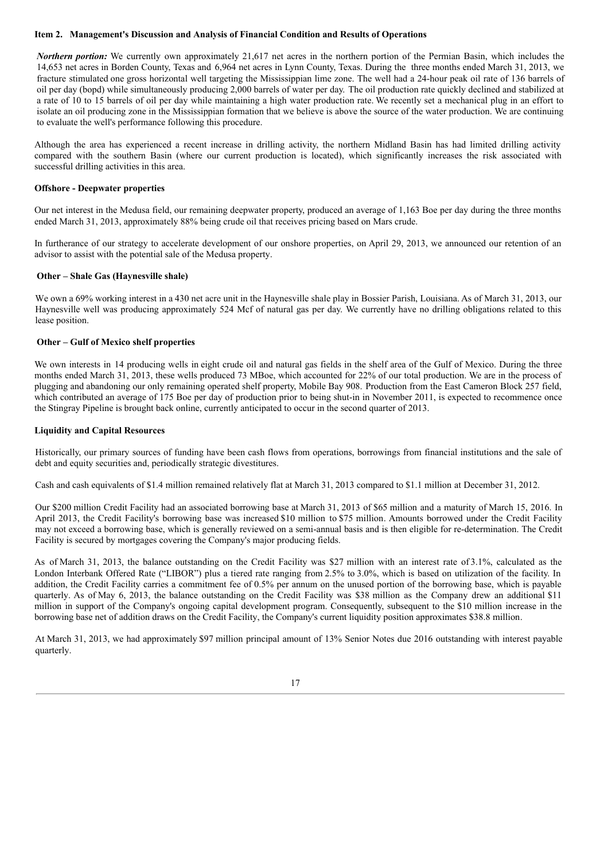*Northern portion:* We currently own approximately 21,617 net acres in the northern portion of the Permian Basin, which includes the 14,653 net acres in Borden County, Texas and 6,964 net acres in Lynn County, Texas. During the three months ended March 31, 2013, we fracture stimulated one gross horizontal well targeting the Mississippian lime zone. The well had a 24-hour peak oil rate of 136 barrels of oil per day (bopd) while simultaneously producing 2,000 barrels of water per day. The oil production rate quickly declined and stabilized at a rate of 10 to 15 barrels of oil per day while maintaining a high water production rate. We recently set a mechanical plug in an effort to isolate an oil producing zone in the Mississippian formation that we believe is above the source of the water production. We are continuing to evaluate the well's performance following this procedure.

Although the area has experienced a recent increase in drilling activity, the northern Midland Basin has had limited drilling activity compared with the southern Basin (where our current production is located), which significantly increases the risk associated with successful drilling activities in this area.

### **Offshore - Deepwater properties**

Our net interest in the Medusa field, our remaining deepwater property, produced an average of 1,163 Boe per day during the three months ended March 31, 2013, approximately 88% being crude oil that receives pricing based on Mars crude.

In furtherance of our strategy to accelerate development of our onshore properties, on April 29, 2013, we announced our retention of an advisor to assist with the potential sale of the Medusa property.

### **Other – Shale Gas (Haynesville shale)**

We own a 69% working interest in a 430 net acre unit in the Haynesville shale play in Bossier Parish, Louisiana. As of March 31, 2013, our Haynesville well was producing approximately 524 Mcf of natural gas per day. We currently have no drilling obligations related to this lease position.

## **Other – Gulf of Mexico shelf properties**

We own interests in 14 producing wells in eight crude oil and natural gas fields in the shelf area of the Gulf of Mexico. During the three months ended March 31, 2013, these wells produced 73 MBoe, which accounted for 22% of our total production. We are in the process of plugging and abandoning our only remaining operated shelf property, Mobile Bay 908. Production from the East Cameron Block 257 field, which contributed an average of 175 Boe per day of production prior to being shut-in in November 2011, is expected to recommence once the Stingray Pipeline is brought back online, currently anticipated to occur in the second quarter of 2013.

#### **Liquidity and Capital Resources**

Historically, our primary sources of funding have been cash flows from operations, borrowings from financial institutions and the sale of debt and equity securities and, periodically strategic divestitures.

Cash and cash equivalents of \$1.4 million remained relatively flat at March 31, 2013 compared to \$1.1 million at December 31, 2012.

Our \$200 million Credit Facility had an associated borrowing base at March 31, 2013 of \$65 million and a maturity of March 15, 2016. In April 2013, the Credit Facility's borrowing base was increased \$10 million to \$75 million. Amounts borrowed under the Credit Facility may not exceed a borrowing base, which is generally reviewed on a semi-annual basis and is then eligible for re-determination. The Credit Facility is secured by mortgages covering the Company's major producing fields.

As of March 31, 2013, the balance outstanding on the Credit Facility was \$27 million with an interest rate of3.1%, calculated as the London Interbank Offered Rate ("LIBOR") plus a tiered rate ranging from 2.5% to 3.0%, which is based on utilization of the facility. In addition, the Credit Facility carries a commitment fee of 0.5% per annum on the unused portion of the borrowing base, which is payable quarterly. As of May 6, 2013, the balance outstanding on the Credit Facility was \$38 million as the Company drew an additional \$11 million in support of the Company's ongoing capital development program. Consequently, subsequent to the \$10 million increase in the borrowing base net of addition draws on the Credit Facility, the Company's current liquidity position approximates \$38.8 million.

At March 31, 2013, we had approximately \$97 million principal amount of 13% Senior Notes due 2016 outstanding with interest payable quarterly.

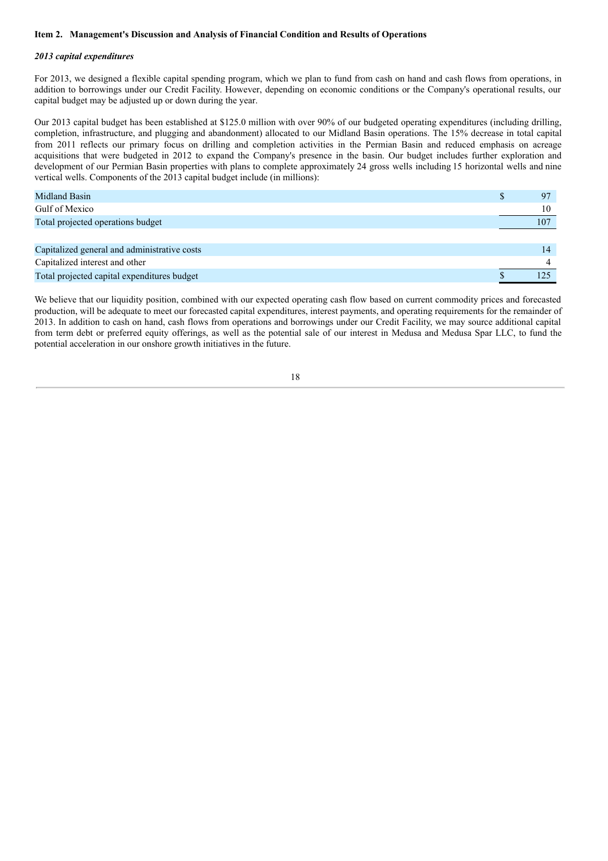#### *2013 capital expenditures*

For 2013, we designed a flexible capital spending program, which we plan to fund from cash on hand and cash flows from operations, in addition to borrowings under our Credit Facility. However, depending on economic conditions or the Company's operational results, our capital budget may be adjusted up or down during the year.

Our 2013 capital budget has been established at \$125.0 million with over 90% of our budgeted operating expenditures (including drilling, completion, infrastructure, and plugging and abandonment) allocated to our Midland Basin operations. The 15% decrease in total capital from 2011 reflects our primary focus on drilling and completion activities in the Permian Basin and reduced emphasis on acreage acquisitions that were budgeted in 2012 to expand the Company's presence in the basin. Our budget includes further exploration and development of our Permian Basin properties with plans to complete approximately 24 gross wells including 15 horizontal wells and nine vertical wells. Components of the 2013 capital budget include (in millions):

| Midland Basin                                |     |
|----------------------------------------------|-----|
| Gulf of Mexico                               |     |
| Total projected operations budget            | 107 |
|                                              |     |
| Capitalized general and administrative costs | 14  |
| Capitalized interest and other               |     |
| Total projected capital expenditures budget  |     |

We believe that our liquidity position, combined with our expected operating cash flow based on current commodity prices and forecasted production, will be adequate to meet our forecasted capital expenditures, interest payments, and operating requirements for the remainder of 2013. In addition to cash on hand, cash flows from operations and borrowings under our Credit Facility, we may source additional capital from term debt or preferred equity offerings, as well as the potential sale of our interest in Medusa and Medusa Spar LLC, to fund the potential acceleration in our onshore growth initiatives in the future.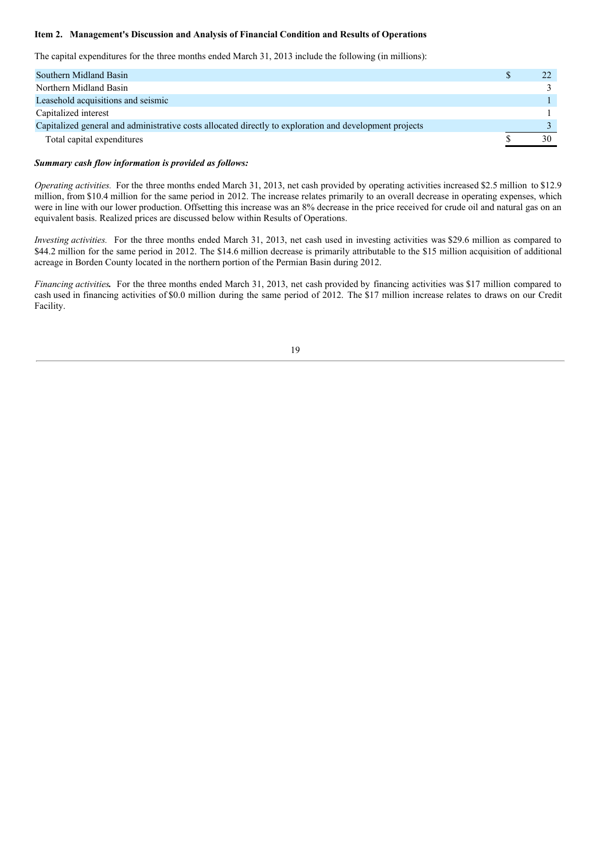The capital expenditures for the three months ended March 31, 2013 include the following (in millions):

| Southern Midland Basin                                                                                  | 22            |
|---------------------------------------------------------------------------------------------------------|---------------|
| Northern Midland Basin                                                                                  | $\mathcal{R}$ |
| Leasehold acquisitions and seismic                                                                      |               |
| Capitalized interest                                                                                    |               |
| Capitalized general and administrative costs allocated directly to exploration and development projects |               |
| Total capital expenditures                                                                              | 30            |

# *Summary cash flow information is provided as follows:*

*Operating activities.* For the three months ended March 31, 2013, net cash provided by operating activities increased \$2.5 million to \$12.9 million, from \$10.4 million for the same period in 2012. The increase relates primarily to an overall decrease in operating expenses, which were in line with our lower production. Offsetting this increase was an 8% decrease in the price received for crude oil and natural gas on an equivalent basis. Realized prices are discussed below within Results of Operations.

*Investing activities.* For the three months ended March 31, 2013, net cash used in investing activities was \$29.6 million as compared to \$44.2 million for the same period in 2012. The \$14.6 million decrease is primarily attributable to the \$15 million acquisition of additional acreage in Borden County located in the northern portion of the Permian Basin during 2012.

*Financing activities.* For the three months ended March 31, 2013, net cash provided by financing activities was \$17 million compared to cash used in financing activities of \$0.0 million during the same period of 2012. The \$17 million increase relates to draws on our Credit Facility.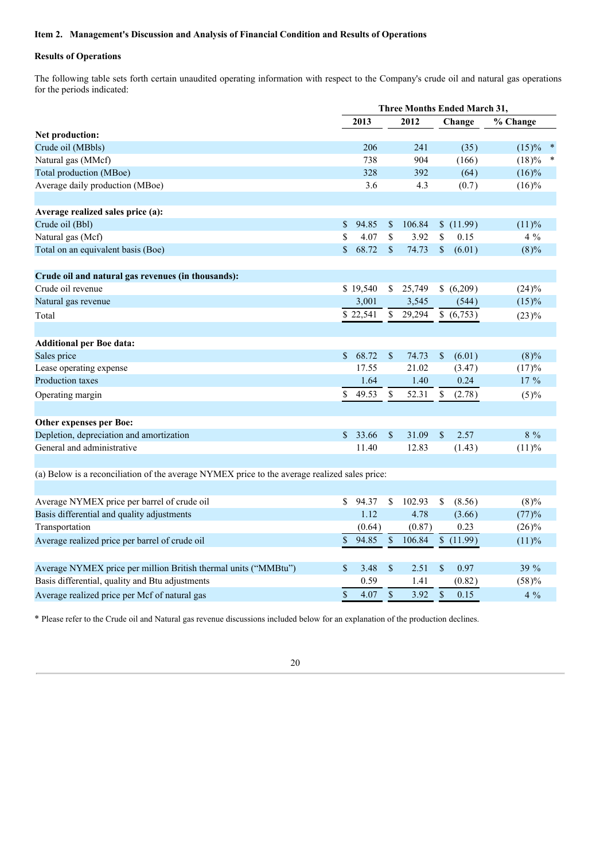# **Results of Operations**

The following table sets forth certain unaudited operating information with respect to the Company's crude oil and natural gas operations for the periods indicated:

|                                                                                               | <b>Three Months Ended March 31,</b> |          |              |        |              |            |             |  |  |  |
|-----------------------------------------------------------------------------------------------|-------------------------------------|----------|--------------|--------|--------------|------------|-------------|--|--|--|
|                                                                                               |                                     | 2013     |              | 2012   |              | Change     | $\%$ Change |  |  |  |
| Net production:                                                                               |                                     |          |              |        |              |            |             |  |  |  |
| Crude oil (MBbls)                                                                             |                                     | 206      |              | 241    |              | (35)       | $(15)\%$    |  |  |  |
| Natural gas (MMcf)                                                                            |                                     | 738      |              | 904    |              | (166)      | $(18)\%$    |  |  |  |
| Total production (MBoe)                                                                       |                                     | 328      |              | 392    |              | (64)       | $(16)\%$    |  |  |  |
| Average daily production (MBoe)                                                               |                                     | 3.6      |              | 4.3    |              | (0.7)      | $(16)\%$    |  |  |  |
| Average realized sales price (a):                                                             |                                     |          |              |        |              |            |             |  |  |  |
| Crude oil (Bbl)                                                                               | \$                                  | 94.85    | \$           | 106.84 |              | \$(11.99)  | (11)%       |  |  |  |
| Natural gas (Mcf)                                                                             | \$                                  | 4.07     | \$           | 3.92   | \$           | 0.15       | $4 \ \%$    |  |  |  |
| Total on an equivalent basis (Boe)                                                            | \$                                  | 68.72    | $\mathbb{S}$ | 74.73  | \$           | (6.01)     | $(8)\%$     |  |  |  |
| Crude oil and natural gas revenues (in thousands):                                            |                                     |          |              |        |              |            |             |  |  |  |
| Crude oil revenue                                                                             |                                     | \$19,540 | \$           | 25,749 |              | \$ (6,209) | $(24)\%$    |  |  |  |
| Natural gas revenue                                                                           |                                     | 3,001    |              | 3,545  |              | (544)      | $(15)\%$    |  |  |  |
| Total                                                                                         |                                     | \$22,541 | $\mathbb{S}$ | 29,294 |              | \$ (6,753) | $(23)\%$    |  |  |  |
| <b>Additional per Boe data:</b>                                                               |                                     |          |              |        |              |            |             |  |  |  |
| Sales price                                                                                   | $\mathbb{S}$                        | 68.72    | $\mathbb{S}$ | 74.73  | \$           | (6.01)     | $(8)\%$     |  |  |  |
| Lease operating expense                                                                       |                                     | 17.55    |              | 21.02  |              | (3.47)     | (17)%       |  |  |  |
| Production taxes                                                                              |                                     | 1.64     |              | 1.40   |              | 0.24       | $17\%$      |  |  |  |
| Operating margin                                                                              | \$                                  | 49.53    | $\mathbb{S}$ | 52.31  | $\mathbb{S}$ | (2.78)     | (5)%        |  |  |  |
|                                                                                               |                                     |          |              |        |              |            |             |  |  |  |
| Other expenses per Boe:                                                                       |                                     |          |              |        |              |            |             |  |  |  |
| Depletion, depreciation and amortization                                                      | $\mathbb{S}$                        | 33.66    | $\mathbb{S}$ | 31.09  | $\mathbb{S}$ | 2.57       | $8\%$       |  |  |  |
| General and administrative                                                                    |                                     | 11.40    |              | 12.83  |              | (1.43)     | (11)%       |  |  |  |
| (a) Below is a reconciliation of the average NYMEX price to the average realized sales price: |                                     |          |              |        |              |            |             |  |  |  |
| Average NYMEX price per barrel of crude oil                                                   | \$                                  | 94.37    | S            | 102.93 | \$           | (8.56)     | $(8)\%$     |  |  |  |
| Basis differential and quality adjustments                                                    |                                     | 1.12     |              | 4.78   |              | (3.66)     | (77)%       |  |  |  |
| Transportation                                                                                |                                     | (0.64)   |              | (0.87) |              | 0.23       | $(26)\%$    |  |  |  |
|                                                                                               | \$                                  | 94.85    | $\mathbb{S}$ | 106.84 |              | \$(11.99)  |             |  |  |  |
| Average realized price per barrel of crude oil                                                |                                     |          |              |        |              |            | (11)%       |  |  |  |
| Average NYMEX price per million British thermal units ("MMBtu")                               | \$                                  | 3.48     | $\mathbb{S}$ | 2.51   | $\mathbb{S}$ | 0.97       | $39\%$      |  |  |  |
| Basis differential, quality and Btu adjustments                                               |                                     | 0.59     |              | 1.41   |              | (0.82)     | (58)%       |  |  |  |
| Average realized price per Mcf of natural gas                                                 | \$                                  | 4.07     | \$           | 3.92   | \$           | 0.15       | $4\%$       |  |  |  |

\* Please refer to the Crude oil and Natural gas revenue discussions included below for an explanation of the production declines.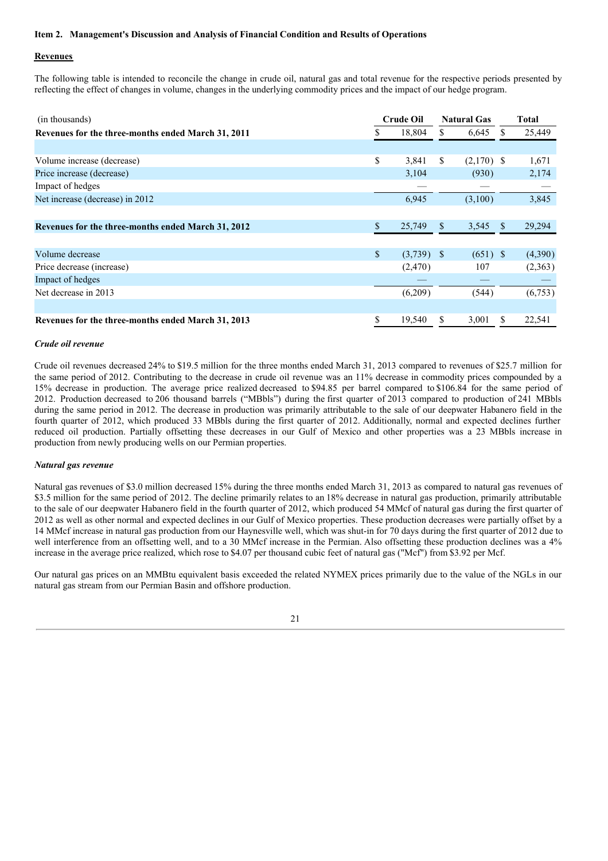#### **Revenues**

The following table is intended to reconcile the change in crude oil, natural gas and total revenue for the respective periods presented by reflecting the effect of changes in volume, changes in the underlying commodity prices and the impact of our hedge program.

| (in thousands)                                     |              | <b>Crude Oil</b> |     | <b>Natural Gas</b> |              | Total   |
|----------------------------------------------------|--------------|------------------|-----|--------------------|--------------|---------|
| Revenues for the three-months ended March 31, 2011 |              | 18,804           | \$. | 6,645              | \$.          | 25,449  |
|                                                    |              |                  |     |                    |              |         |
| Volume increase (decrease)                         | \$           | 3,841            | \$  | $(2,170)$ \$       |              | 1,671   |
| Price increase (decrease)                          |              | 3,104            |     | (930)              |              | 2,174   |
| Impact of hedges                                   |              |                  |     |                    |              |         |
| Net increase (decrease) in 2012                    |              | 6,945            |     | (3,100)            |              | 3,845   |
|                                                    |              |                  |     |                    |              |         |
| Revenues for the three-months ended March 31, 2012 | S.           | 25,749           | \$  | 3,545              | <sup>S</sup> | 29,294  |
|                                                    |              |                  |     |                    |              |         |
| Volume decrease                                    | $\mathbb{S}$ | $(3,739)$ \$     |     | $(651)$ \$         |              | (4,390) |
| Price decrease (increase)                          |              | (2,470)          |     | 107                |              | (2,363) |
| Impact of hedges                                   |              |                  |     |                    |              |         |
| Net decrease in 2013                               |              | (6,209)          |     | (544)              |              | (6,753) |
|                                                    |              |                  |     |                    |              |         |
| Revenues for the three-months ended March 31, 2013 | \$           | 19,540           | \$  | 3,001              | S            | 22,541  |

#### *Crude oil revenue*

Crude oil revenues decreased 24% to \$19.5 million for the three months ended March 31, 2013 compared to revenues of \$25.7 million for the same period of 2012. Contributing to the decrease in crude oil revenue was an 11% decrease in commodity prices compounded by a 15% decrease in production. The average price realized decreased to \$94.85 per barrel compared to \$106.84 for the same period of 2012. Production decreased to 206 thousand barrels ("MBbls") during the first quarter of 2013 compared to production of 241 MBbls during the same period in 2012. The decrease in production was primarily attributable to the sale of our deepwater Habanero field in the fourth quarter of 2012, which produced 33 MBbls during the first quarter of 2012. Additionally, normal and expected declines further reduced oil production. Partially offsetting these decreases in our Gulf of Mexico and other properties was a 23 MBbls increase in production from newly producing wells on our Permian properties.

## *Natural gas revenue*

Natural gas revenues of \$3.0 million decreased 15% during the three months ended March 31, 2013 as compared to natural gas revenues of \$3.5 million for the same period of 2012. The decline primarily relates to an 18% decrease in natural gas production, primarily attributable to the sale of our deepwater Habanero field in the fourth quarter of 2012, which produced 54 MMcf of natural gas during the first quarter of 2012 as well as other normal and expected declines in our Gulf of Mexico properties. These production decreases were partially offset by a 14 MMcf increase in natural gas production from our Haynesville well, which was shut-in for 70 days during the first quarter of 2012 due to well interference from an offsetting well, and to a 30 MMcf increase in the Permian. Also offsetting these production declines was a 4% increase in the average price realized, which rose to \$4.07 per thousand cubic feet of natural gas ("Mcf") from \$3.92 per Mcf.

Our natural gas prices on an MMBtu equivalent basis exceeded the related NYMEX prices primarily due to the value of the NGLs in our natural gas stream from our Permian Basin and offshore production.

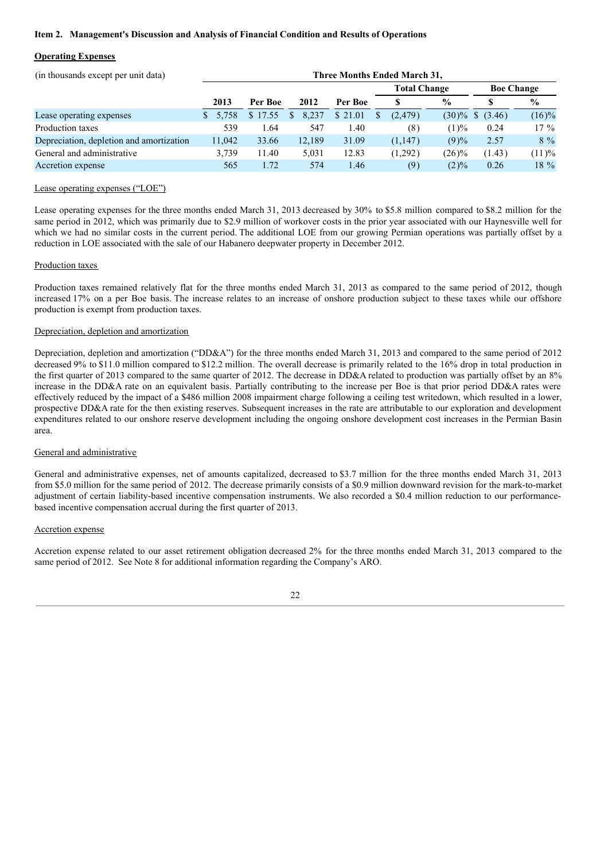# **Operating Expenses**

| (in thousands except per unit data)      | Three Months Ended March 31, |         |            |          |                     |               |                        |               |  |
|------------------------------------------|------------------------------|---------|------------|----------|---------------------|---------------|------------------------|---------------|--|
|                                          |                              |         |            |          | <b>Total Change</b> |               | <b>Boe Change</b>      |               |  |
|                                          | 2013                         | Per Boe | 2012       | Per Boe  |                     | $\frac{6}{9}$ |                        | $\frac{0}{0}$ |  |
| Lease operating expenses                 | 5.758<br>S.                  | \$17.55 | 8,237<br>S | \$ 21.01 | (2, 479)<br>S.      | $(30)\%$      | (3.46)<br><sup>S</sup> | $(16)\%$      |  |
| Production taxes                         | 539                          | 1.64    | 547        | 1.40     | (8)                 | (1)%          | 0.24                   | $17\%$        |  |
| Depreciation, depletion and amortization | 11.042                       | 33.66   | 12,189     | 31.09    | (1,147)             | (9)%          | 2.57                   | $8\%$         |  |
| General and administrative               | 3.739                        | 11.40   | 5.031      | 12.83    | (1,292)             | $(26)\%$      | (1.43)                 | (11)%         |  |
| Accretion expense                        | 565                          | 1.72    | 574        | 1.46     | (9)                 | $(2)\%$       | 0.26                   | 18 %          |  |

#### Lease operating expenses ("LOE")

Lease operating expenses for the three months ended March 31, 2013 decreased by 30% to \$5.8 million compared to \$8.2 million for the same period in 2012, which was primarily due to \$2.9 million of workover costs in the prior year associated with our Haynesville well for which we had no similar costs in the current period. The additional LOE from our growing Permian operations was partially offset by a reduction in LOE associated with the sale of our Habanero deepwater property in December 2012.

#### Production taxes

Production taxes remained relatively flat for the three months ended March 31, 2013 as compared to the same period of 2012, though increased 17% on a per Boe basis. The increase relates to an increase of onshore production subject to these taxes while our offshore production is exempt from production taxes.

#### Depreciation, depletion and amortization

Depreciation, depletion and amortization ("DD&A") for the three months ended March 31, 2013 and compared to the same period of 2012 decreased 9% to \$11.0 million compared to \$12.2 million. The overall decrease is primarily related to the 16% drop in total production in the first quarter of 2013 compared to the same quarter of 2012. The decrease in DD&A related to production was partially offset by an 8% increase in the DD&A rate on an equivalent basis. Partially contributing to the increase per Boe is that prior period DD&A rates were effectively reduced by the impact of a \$486 million 2008 impairment charge following a ceiling test writedown, which resulted in a lower, prospective DD&A rate for the then existing reserves. Subsequent increases in the rate are attributable to our exploration and development expenditures related to our onshore reserve development including the ongoing onshore development cost increases in the Permian Basin area.

#### General and administrative

General and administrative expenses, net of amounts capitalized, decreased to \$3.7 million for the three months ended March 31, 2013 from \$5.0 million for the same period of 2012. The decrease primarily consists of a \$0.9 million downward revision for the mark-to-market adjustment of certain liability-based incentive compensation instruments. We also recorded a \$0.4 million reduction to our performancebased incentive compensation accrual during the first quarter of 2013.

#### Accretion expense

Accretion expense related to our asset retirement obligation decreased 2% for the three months ended March 31, 2013 compared to the same period of 2012. See Note 8 for additional information regarding the Company's ARO.

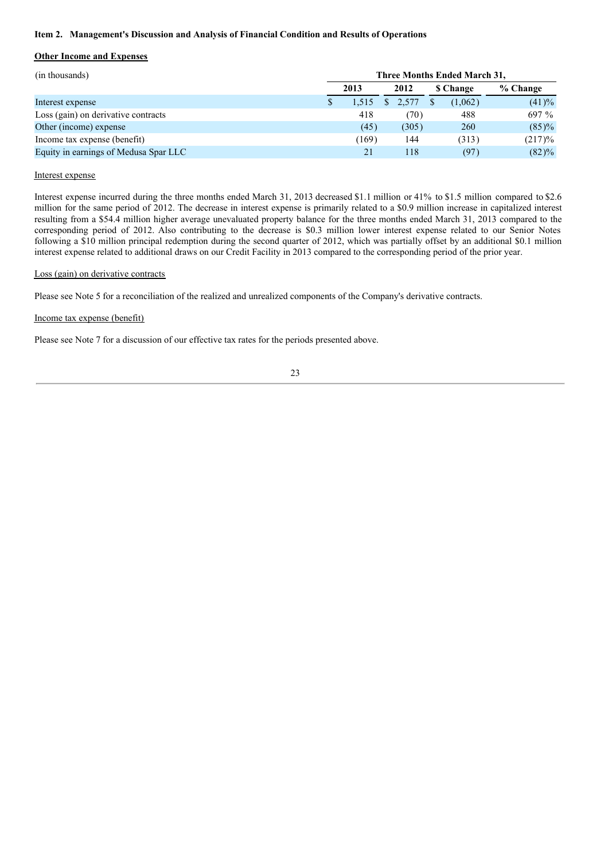# **Other Income and Expenses**

| (in thousands)                        |   | Three Months Ended March 31, |  |       |  |                 |             |
|---------------------------------------|---|------------------------------|--|-------|--|-----------------|-------------|
|                                       |   | 2013                         |  | 2012  |  | <b>S</b> Change | $\%$ Change |
| Interest expense                      | S | 1.515                        |  | 2.577 |  | (1,062)         | (41)%       |
| Loss (gain) on derivative contracts   |   | 418                          |  | (70)  |  | 488             | $697 \%$    |
| Other (income) expense                |   | (45)                         |  | (305) |  | <b>260</b>      | $(85)\%$    |
| Income tax expense (benefit)          |   | (169)                        |  | 144   |  | (313)           | (217)%      |
| Equity in earnings of Medusa Spar LLC |   | 21                           |  | 118   |  | (97)            | $(82)\%$    |

# Interest expense

Interest expense incurred during the three months ended March 31, 2013 decreased \$1.1 million or 41% to \$1.5 million compared to \$2.6 million for the same period of 2012. The decrease in interest expense is primarily related to a \$0.9 million increase in capitalized interest resulting from a \$54.4 million higher average unevaluated property balance for the three months ended March 31, 2013 compared to the corresponding period of 2012. Also contributing to the decrease is \$0.3 million lower interest expense related to our Senior Notes following a \$10 million principal redemption during the second quarter of 2012, which was partially offset by an additional \$0.1 million interest expense related to additional draws on our Credit Facility in 2013 compared to the corresponding period of the prior year.

# Loss (gain) on derivative contracts

Please see Note 5 for a reconciliation of the realized and unrealized components of the Company's derivative contracts.

# Income tax expense (benefit)

Please see Note 7 for a discussion of our effective tax rates for the periods presented above.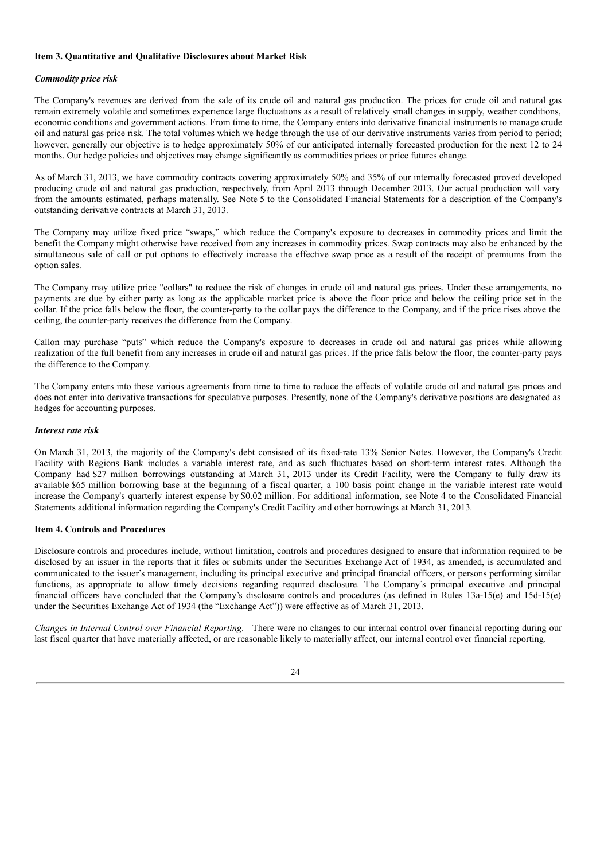#### **Item 3. Quantitative and Qualitative Disclosures about Market Risk**

### *Commodity price risk*

The Company's revenues are derived from the sale of its crude oil and natural gas production. The prices for crude oil and natural gas remain extremely volatile and sometimes experience large fluctuations as a result of relatively small changes in supply, weather conditions, economic conditions and government actions. From time to time, the Company enters into derivative financial instruments to manage crude oil and natural gas price risk. The total volumes which we hedge through the use of our derivative instruments varies from period to period; however, generally our objective is to hedge approximately 50% of our anticipated internally forecasted production for the next 12 to 24 months. Our hedge policies and objectives may change significantly as commodities prices or price futures change.

As of March 31, 2013, we have commodity contracts covering approximately 50% and 35% of our internally forecasted proved developed producing crude oil and natural gas production, respectively, from April 2013 through December 2013. Our actual production will vary from the amounts estimated, perhaps materially. See Note 5 to the Consolidated Financial Statements for a description of the Company's outstanding derivative contracts at March 31, 2013.

The Company may utilize fixed price "swaps," which reduce the Company's exposure to decreases in commodity prices and limit the benefit the Company might otherwise have received from any increases in commodity prices. Swap contracts may also be enhanced by the simultaneous sale of call or put options to effectively increase the effective swap price as a result of the receipt of premiums from the option sales.

The Company may utilize price "collars" to reduce the risk of changes in crude oil and natural gas prices. Under these arrangements, no payments are due by either party as long as the applicable market price is above the floor price and below the ceiling price set in the collar. If the price falls below the floor, the counter-party to the collar pays the difference to the Company, and if the price rises above the ceiling, the counter-party receives the difference from the Company.

Callon may purchase "puts" which reduce the Company's exposure to decreases in crude oil and natural gas prices while allowing realization of the full benefit from any increases in crude oil and natural gas prices. If the price falls below the floor, the counter-party pays the difference to the Company.

The Company enters into these various agreements from time to time to reduce the effects of volatile crude oil and natural gas prices and does not enter into derivative transactions for speculative purposes. Presently, none of the Company's derivative positions are designated as hedges for accounting purposes.

#### *Interest rate risk*

On March 31, 2013, the majority of the Company's debt consisted of its fixed-rate 13% Senior Notes. However, the Company's Credit Facility with Regions Bank includes a variable interest rate, and as such fluctuates based on short-term interest rates. Although the Company had \$27 million borrowings outstanding at March 31, 2013 under its Credit Facility, were the Company to fully draw its available \$65 million borrowing base at the beginning of a fiscal quarter, a 100 basis point change in the variable interest rate would increase the Company's quarterly interest expense by \$0.02 million. For additional information, see Note 4 to the Consolidated Financial Statements additional information regarding the Company's Credit Facility and other borrowings at March 31, 2013.

#### **Item 4. Controls and Procedures**

Disclosure controls and procedures include, without limitation, controls and procedures designed to ensure that information required to be disclosed by an issuer in the reports that it files or submits under the Securities Exchange Act of 1934, as amended, is accumulated and communicated to the issuer's management, including its principal executive and principal financial officers, or persons performing similar functions, as appropriate to allow timely decisions regarding required disclosure. The Company's principal executive and principal financial officers have concluded that the Company's disclosure controls and procedures (as defined in Rules 13a-15(e) and 15d-15(e) under the Securities Exchange Act of 1934 (the "Exchange Act")) were effective as of March 31, 2013.

*Changes in Internal Control over Financial Reporting*. There were no changes to our internal control over financial reporting during our last fiscal quarter that have materially affected, or are reasonable likely to materially affect, our internal control over financial reporting.

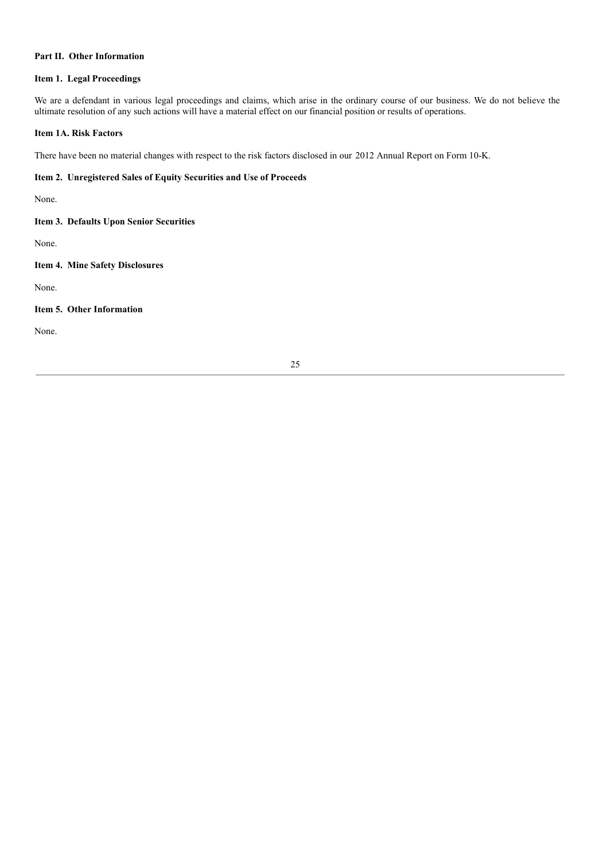# **Part II. Other Information**

# **Item 1. Legal Proceedings**

We are a defendant in various legal proceedings and claims, which arise in the ordinary course of our business. We do not believe the ultimate resolution of any such actions will have a material effect on our financial position or results of operations.

# **Item 1A. Risk Factors**

There have been no material changes with respect to the risk factors disclosed in our 2012 Annual Report on Form 10-K.

# **Item 2. Unregistered Sales of Equity Securities and Use of Proceeds**

None.

### **Item 3. Defaults Upon Senior Securities**

None.

# **Item 4. Mine Safety Disclosures**

None.

# **Item 5. Other Information**

None.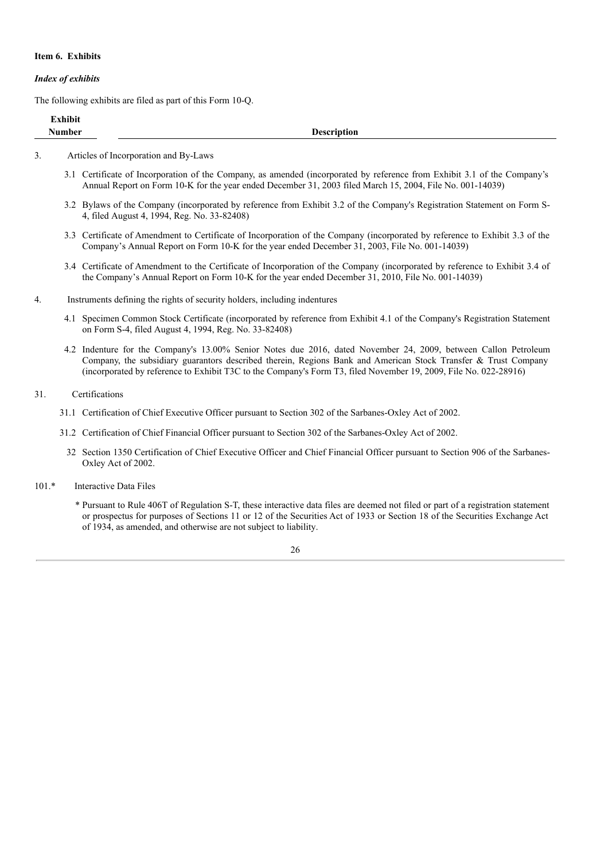#### **Item 6. Exhibits**

# *Index of exhibits*

The following exhibits are filed as part of this Form 10-Q.

| Exhibit<br>– |                |
|--------------|----------------|
| umher        | Dacerir<br>ion |
|              |                |

3. Articles of Incorporation and By-Laws

- 3.1 Certificate of Incorporation of the Company, as amended (incorporated by reference from Exhibit 3.1 of the Company's Annual Report on Form 10-K for the year ended December 31, 2003 filed March 15, 2004, File No. 001-14039)
- 3.2 Bylaws of the Company (incorporated by reference from Exhibit 3.2 of the Company's Registration Statement on Form S-4, filed August 4, 1994, Reg. No. 33-82408)
- 3.3 Certificate of Amendment to Certificate of Incorporation of the Company (incorporated by reference to Exhibit 3.3 of the Company's Annual Report on Form 10-K for the year ended December 31, 2003, File No. 001-14039)
- 3.4 Certificate of Amendment to the Certificate of Incorporation of the Company (incorporated by reference to Exhibit 3.4 of the Company's Annual Report on Form 10-K for the year ended December 31, 2010, File No. 001-14039)
- 4. Instruments defining the rights of security holders, including indentures
	- 4.1 Specimen Common Stock Certificate (incorporated by reference from Exhibit 4.1 of the Company's Registration Statement on Form S-4, filed August 4, 1994, Reg. No. 33-82408)
	- 4.2 Indenture for the Company's 13.00% Senior Notes due 2016, dated November 24, 2009, between Callon Petroleum Company, the subsidiary guarantors described therein, Regions Bank and American Stock Transfer & Trust Company (incorporated by reference to Exhibit T3C to the Company's Form T3, filed November 19, 2009, File No. 022-28916)
- 31. Certifications
	- 31.1 Certification of Chief Executive Officer pursuant to Section 302 of the Sarbanes-Oxley Act of 2002.
	- 31.2 Certification of Chief Financial Officer pursuant to Section 302 of the Sarbanes-Oxley Act of 2002.
	- 32 Section 1350 Certification of Chief Executive Officer and Chief Financial Officer pursuant to Section 906 of the Sarbanes-Oxley Act of 2002.
- 101.\* Interactive Data Files
	- \* Pursuant to Rule 406T of Regulation S-T, these interactive data files are deemed not filed or part of a registration statement or prospectus for purposes of Sections 11 or 12 of the Securities Act of 1933 or Section 18 of the Securities Exchange Act of 1934, as amended, and otherwise are not subject to liability.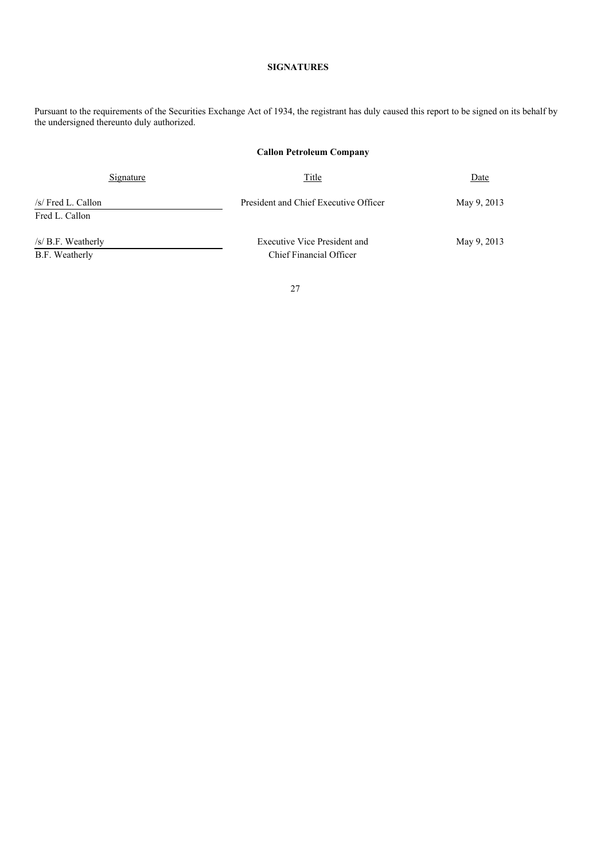# **SIGNATURES**

Pursuant to the requirements of the Securities Exchange Act of 1934, the registrant has duly caused this report to be signed on its behalf by the undersigned thereunto duly authorized.

# **Callon Petroleum Company**

| Signature            | <u>Title</u>                          | Date        |
|----------------------|---------------------------------------|-------------|
| /s/ Fred L. Callon   | President and Chief Executive Officer | May 9, 2013 |
| Fred L. Callon       |                                       |             |
| $/s/$ B.F. Weatherly | <b>Executive Vice President and</b>   | May 9, 2013 |
| B.F. Weatherly       | Chief Financial Officer               |             |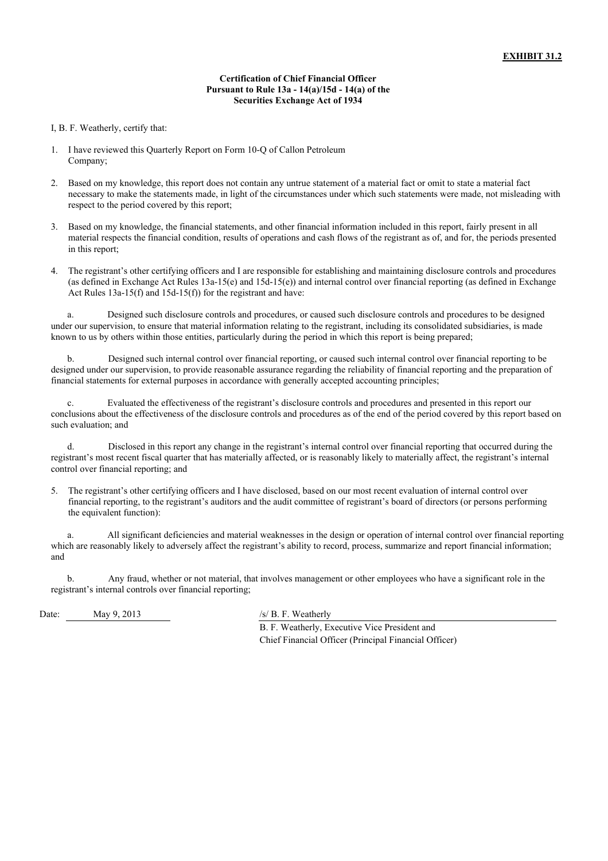# **Certification of Chief Financial Officer Pursuant to Rule 13a - 14(a)/15d - 14(a) of the Securities Exchange Act of 1934**

# I, B. F. Weatherly, certify that:

- 1. I have reviewed this Quarterly Report on Form 10-Q of Callon Petroleum Company;
- 2. Based on my knowledge, this report does not contain any untrue statement of a material fact or omit to state a material fact necessary to make the statements made, in light of the circumstances under which such statements were made, not misleading with respect to the period covered by this report;
- 3. Based on my knowledge, the financial statements, and other financial information included in this report, fairly present in all material respects the financial condition, results of operations and cash flows of the registrant as of, and for, the periods presented in this report;
- 4. The registrant's other certifying officers and I are responsible for establishing and maintaining disclosure controls and procedures (as defined in Exchange Act Rules 13a-15(e) and 15d-15(e)) and internal control over financial reporting (as defined in Exchange Act Rules 13a-15(f) and 15d-15(f)) for the registrant and have:

Designed such disclosure controls and procedures, or caused such disclosure controls and procedures to be designed under our supervision, to ensure that material information relating to the registrant, including its consolidated subsidiaries, is made known to us by others within those entities, particularly during the period in which this report is being prepared;

b. Designed such internal control over financial reporting, or caused such internal control over financial reporting to be designed under our supervision, to provide reasonable assurance regarding the reliability of financial reporting and the preparation of financial statements for external purposes in accordance with generally accepted accounting principles;

c. Evaluated the effectiveness of the registrant's disclosure controls and procedures and presented in this report our conclusions about the effectiveness of the disclosure controls and procedures as of the end of the period covered by this report based on such evaluation; and

d. Disclosed in this report any change in the registrant's internal control over financial reporting that occurred during the registrant's most recent fiscal quarter that has materially affected, or is reasonably likely to materially affect, the registrant's internal control over financial reporting; and

5. The registrant's other certifying officers and I have disclosed, based on our most recent evaluation of internal control over financial reporting, to the registrant's auditors and the audit committee of registrant's board of directors (or persons performing the equivalent function):

a. All significant deficiencies and material weaknesses in the design or operation of internal control over financial reporting which are reasonably likely to adversely affect the registrant's ability to record, process, summarize and report financial information; and

b. Any fraud, whether or not material, that involves management or other employees who have a significant role in the registrant's internal controls over financial reporting;

Date: May 9, 2013 /s/ B. F. Weatherly

B. F. Weatherly, Executive Vice President and Chief Financial Officer (Principal Financial Officer)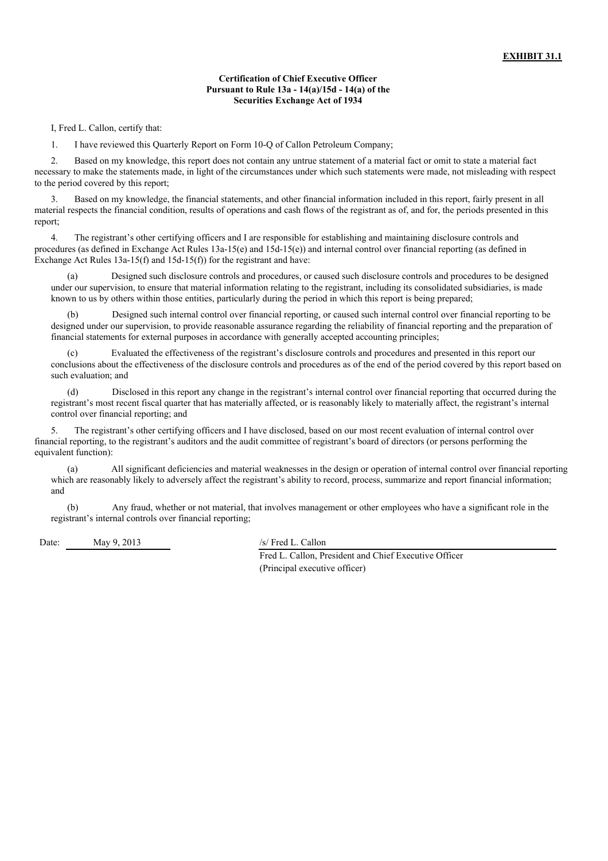# **Certification of Chief Executive Officer Pursuant to Rule 13a - 14(a)/15d - 14(a) of the Securities Exchange Act of 1934**

I, Fred L. Callon, certify that:

1. I have reviewed this Quarterly Report on Form 10-Q of Callon Petroleum Company;

2. Based on my knowledge, this report does not contain any untrue statement of a material fact or omit to state a material fact necessary to make the statements made, in light of the circumstances under which such statements were made, not misleading with respect to the period covered by this report;

3. Based on my knowledge, the financial statements, and other financial information included in this report, fairly present in all material respects the financial condition, results of operations and cash flows of the registrant as of, and for, the periods presented in this report;

4. The registrant's other certifying officers and I are responsible for establishing and maintaining disclosure controls and procedures (as defined in Exchange Act Rules 13a-15(e) and 15d-15(e)) and internal control over financial reporting (as defined in Exchange Act Rules 13a-15(f) and 15d-15(f)) for the registrant and have:

(a) Designed such disclosure controls and procedures, or caused such disclosure controls and procedures to be designed under our supervision, to ensure that material information relating to the registrant, including its consolidated subsidiaries, is made known to us by others within those entities, particularly during the period in which this report is being prepared;

(b) Designed such internal control over financial reporting, or caused such internal control over financial reporting to be designed under our supervision, to provide reasonable assurance regarding the reliability of financial reporting and the preparation of financial statements for external purposes in accordance with generally accepted accounting principles;

Evaluated the effectiveness of the registrant's disclosure controls and procedures and presented in this report our conclusions about the effectiveness of the disclosure controls and procedures as of the end of the period covered by this report based on such evaluation; and

(d) Disclosed in this report any change in the registrant's internal control over financial reporting that occurred during the registrant's most recent fiscal quarter that has materially affected, or is reasonably likely to materially affect, the registrant's internal control over financial reporting; and

5. The registrant's other certifying officers and I have disclosed, based on our most recent evaluation of internal control over financial reporting, to the registrant's auditors and the audit committee of registrant's board of directors (or persons performing the equivalent function):

(a) All significant deficiencies and material weaknesses in the design or operation of internal control over financial reporting which are reasonably likely to adversely affect the registrant's ability to record, process, summarize and report financial information; and

Any fraud, whether or not material, that involves management or other employees who have a significant role in the registrant's internal controls over financial reporting;

Date: May 9, 2013 /s/ Fred L. Callon

Fred L. Callon, President and Chief Executive Officer (Principal executive officer)